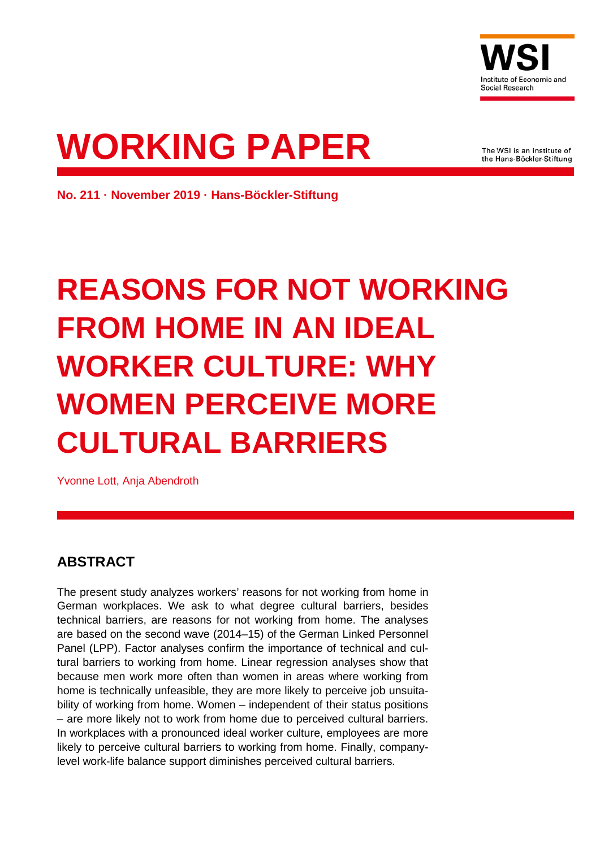

# **WORKING PAPER**

The WSI is an institute of the Hans-Böckler-Stiftung

**No. 211 · November 2019 · Hans-Böckler-Stiftung**

## **REASONS FOR NOT WORKING FROM HOME IN AN IDEAL WORKER CULTURE: WHY WOMEN PERCEIVE MORE CULTURAL BARRIERS**

Yvonne Lott, Anja Abendroth

## **ABSTRACT**

The present study analyzes workers' reasons for not working from home in German workplaces. We ask to what degree cultural barriers, besides technical barriers, are reasons for not working from home. The analyses are based on the second wave (2014–15) of the German Linked Personnel Panel (LPP). Factor analyses confirm the importance of technical and cultural barriers to working from home. Linear regression analyses show that because men work more often than women in areas where working from home is technically unfeasible, they are more likely to perceive job unsuitability of working from home. Women – independent of their status positions – are more likely not to work from home due to perceived cultural barriers. In workplaces with a pronounced ideal worker culture, employees are more likely to perceive cultural barriers to working from home. Finally, companylevel work-life balance support diminishes perceived cultural barriers.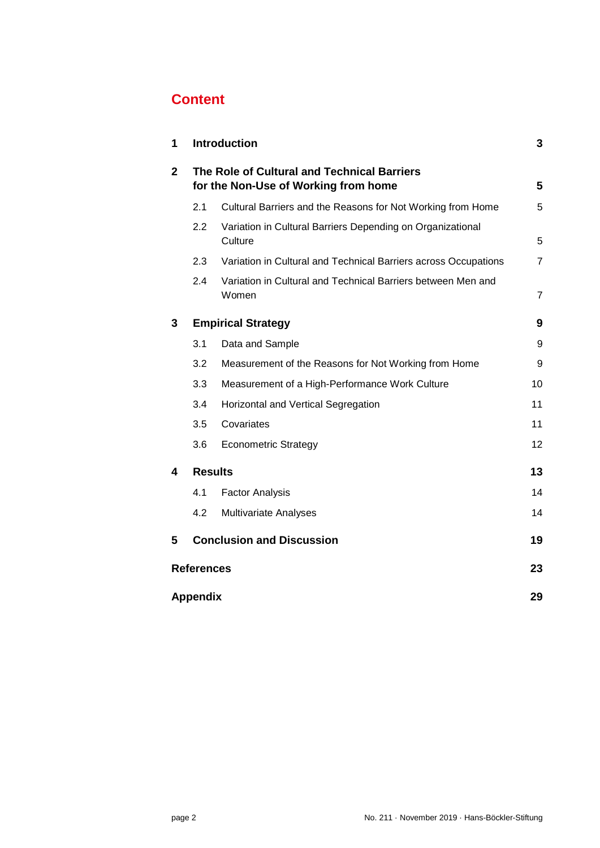## **Content**

| 1                       |                                                                                     | <b>Introduction</b>                                                   | 3              |  |  |
|-------------------------|-------------------------------------------------------------------------------------|-----------------------------------------------------------------------|----------------|--|--|
| $\mathbf{2}$            | The Role of Cultural and Technical Barriers<br>for the Non-Use of Working from home |                                                                       |                |  |  |
|                         | 2.1                                                                                 | Cultural Barriers and the Reasons for Not Working from Home           | 5              |  |  |
|                         | 2.2                                                                                 | Variation in Cultural Barriers Depending on Organizational<br>Culture | 5              |  |  |
|                         | 2.3                                                                                 | Variation in Cultural and Technical Barriers across Occupations       | $\overline{7}$ |  |  |
|                         | 2.4                                                                                 | Variation in Cultural and Technical Barriers between Men and<br>Women | $\overline{7}$ |  |  |
| 3                       |                                                                                     | <b>Empirical Strategy</b>                                             | 9              |  |  |
|                         | 3.1                                                                                 | Data and Sample                                                       | 9              |  |  |
|                         | 3.2                                                                                 | Measurement of the Reasons for Not Working from Home                  | 9              |  |  |
|                         | 3.3                                                                                 | Measurement of a High-Performance Work Culture                        | 10             |  |  |
|                         | 3.4                                                                                 | Horizontal and Vertical Segregation                                   | 11             |  |  |
|                         | 3.5                                                                                 | Covariates                                                            | 11             |  |  |
|                         | 3.6                                                                                 | <b>Econometric Strategy</b>                                           | 12             |  |  |
| 4                       | <b>Results</b>                                                                      |                                                                       | 13             |  |  |
|                         | 4.1                                                                                 | <b>Factor Analysis</b>                                                | 14             |  |  |
|                         | 4.2                                                                                 | <b>Multivariate Analyses</b>                                          | 14             |  |  |
| 5                       |                                                                                     | <b>Conclusion and Discussion</b>                                      | 19             |  |  |
| <b>References</b><br>23 |                                                                                     |                                                                       |                |  |  |
|                         | 29<br><b>Appendix</b>                                                               |                                                                       |                |  |  |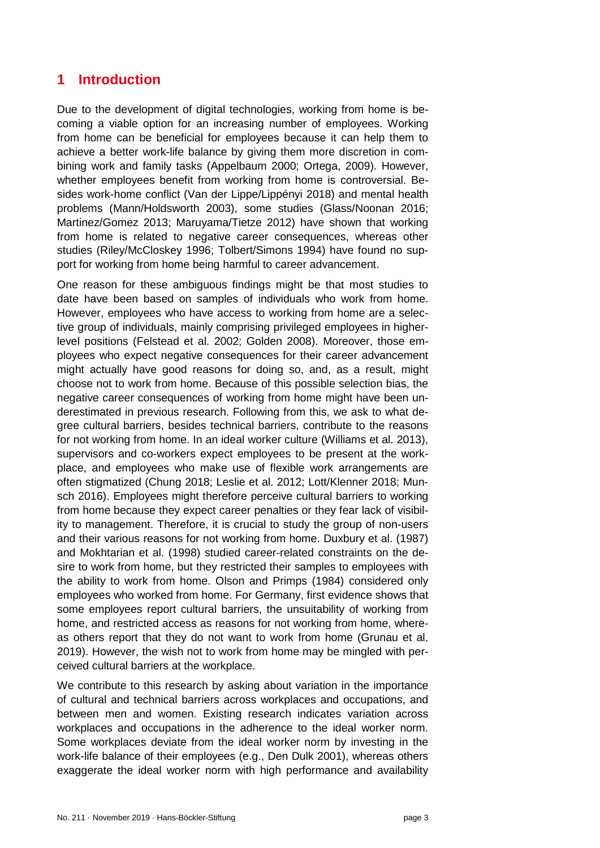## <span id="page-2-0"></span>**1 Introduction**

Due to the development of digital technologies, working from home is becoming a viable option for an increasing number of employees. Working from home can be beneficial for employees because it can help them to achieve a better work-life balance by giving them more discretion in combining work and family tasks (Appelbaum 2000; Ortega, 2009). However, whether employees benefit from working from home is controversial. Besides work-home conflict (Van der Lippe/Lippényi 2018) and mental health problems (Mann/Holdsworth 2003), some studies (Glass/Noonan 2016; Martinez/Gomez 2013; Maruyama/Tietze 2012) have shown that working from home is related to negative career consequences, whereas other studies (Riley/McCloskey 1996; Tolbert/Simons 1994) have found no support for working from home being harmful to career advancement.

One reason for these ambiguous findings might be that most studies to date have been based on samples of individuals who work from home. However, employees who have access to working from home are a selective group of individuals, mainly comprising privileged employees in higherlevel positions (Felstead et al. 2002; Golden 2008). Moreover, those employees who expect negative consequences for their career advancement might actually have good reasons for doing so, and, as a result, might choose not to work from home. Because of this possible selection bias, the negative career consequences of working from home might have been underestimated in previous research. Following from this, we ask to what degree cultural barriers, besides technical barriers, contribute to the reasons for not working from home. In an ideal worker culture (Williams et al. 2013), supervisors and co-workers expect employees to be present at the workplace, and employees who make use of flexible work arrangements are often stigmatized (Chung 2018; Leslie et al. 2012; Lott/Klenner 2018; Munsch 2016). Employees might therefore perceive cultural barriers to working from home because they expect career penalties or they fear lack of visibility to management. Therefore, it is crucial to study the group of non-users and their various reasons for not working from home. Duxbury et al. (1987) and Mokhtarian et al. (1998) studied career-related constraints on the desire to work from home, but they restricted their samples to employees with the ability to work from home. Olson and Primps (1984) considered only employees who worked from home. For Germany, first evidence shows that some employees report cultural barriers, the unsuitability of working from home, and restricted access as reasons for not working from home, whereas others report that they do not want to work from home (Grunau et al. 2019). However, the wish not to work from home may be mingled with perceived cultural barriers at the workplace.

We contribute to this research by asking about variation in the importance of cultural and technical barriers across workplaces and occupations, and between men and women. Existing research indicates variation across workplaces and occupations in the adherence to the ideal worker norm. Some workplaces deviate from the ideal worker norm by investing in the work-life balance of their employees (e.g., Den Dulk 2001), whereas others exaggerate the ideal worker norm with high performance and availability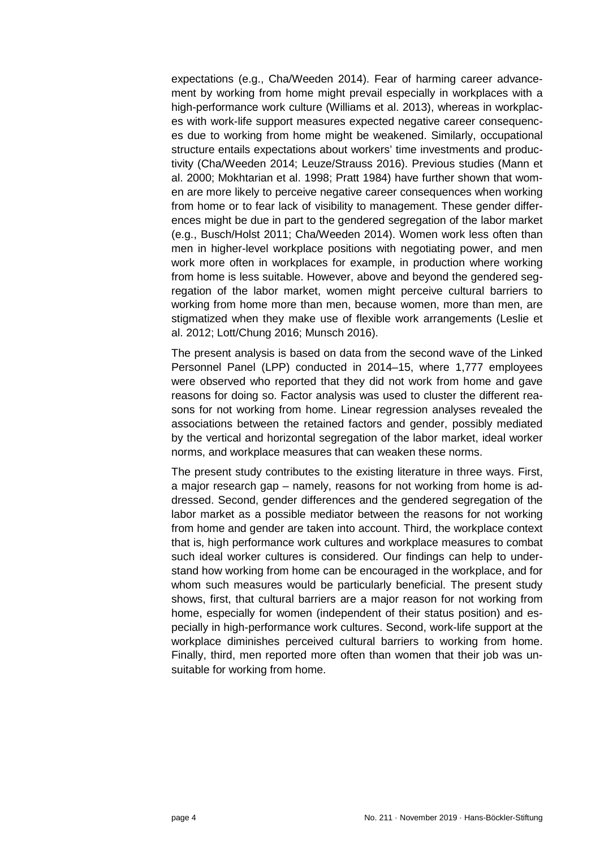expectations (e.g., Cha/Weeden 2014). Fear of harming career advancement by working from home might prevail especially in workplaces with a high-performance work culture (Williams et al. 2013), whereas in workplaces with work-life support measures expected negative career consequences due to working from home might be weakened. Similarly, occupational structure entails expectations about workers' time investments and productivity (Cha/Weeden 2014; Leuze/Strauss 2016). Previous studies (Mann et al. 2000; Mokhtarian et al. 1998; Pratt 1984) have further shown that women are more likely to perceive negative career consequences when working from home or to fear lack of visibility to management. These gender differences might be due in part to the gendered segregation of the labor market (e.g., Busch/Holst 2011; Cha/Weeden 2014). Women work less often than men in higher-level workplace positions with negotiating power, and men work more often in workplaces for example, in production where working from home is less suitable. However, above and beyond the gendered segregation of the labor market, women might perceive cultural barriers to working from home more than men, because women, more than men, are stigmatized when they make use of flexible work arrangements (Leslie et al. 2012; Lott/Chung 2016; Munsch 2016).

The present analysis is based on data from the second wave of the Linked Personnel Panel (LPP) conducted in 2014–15, where 1,777 employees were observed who reported that they did not work from home and gave reasons for doing so. Factor analysis was used to cluster the different reasons for not working from home. Linear regression analyses revealed the associations between the retained factors and gender, possibly mediated by the vertical and horizontal segregation of the labor market, ideal worker norms, and workplace measures that can weaken these norms.

The present study contributes to the existing literature in three ways. First, a major research gap – namely, reasons for not working from home is addressed. Second, gender differences and the gendered segregation of the labor market as a possible mediator between the reasons for not working from home and gender are taken into account. Third, the workplace context that is, high performance work cultures and workplace measures to combat such ideal worker cultures is considered. Our findings can help to understand how working from home can be encouraged in the workplace, and for whom such measures would be particularly beneficial. The present study shows, first, that cultural barriers are a major reason for not working from home, especially for women (independent of their status position) and especially in high-performance work cultures. Second, work-life support at the workplace diminishes perceived cultural barriers to working from home. Finally, third, men reported more often than women that their job was unsuitable for working from home.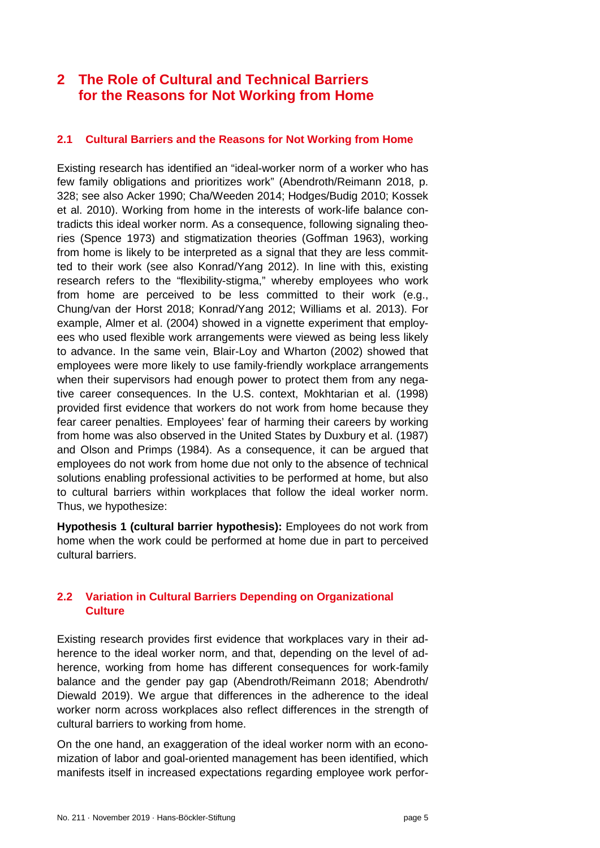## <span id="page-4-0"></span>**2 The Role of Cultural and Technical Barriers for the Reasons for Not Working from Home**

#### <span id="page-4-1"></span>**2.1 Cultural Barriers and the Reasons for Not Working from Home**

Existing research has identified an "ideal-worker norm of a worker who has few family obligations and prioritizes work" (Abendroth/Reimann 2018, p. 328; see also Acker 1990; Cha/Weeden 2014; Hodges/Budig 2010; Kossek et al. 2010). Working from home in the interests of work-life balance contradicts this ideal worker norm. As a consequence, following signaling theories (Spence 1973) and stigmatization theories (Goffman 1963), working from home is likely to be interpreted as a signal that they are less committed to their work (see also Konrad/Yang 2012). In line with this, existing research refers to the "flexibility-stigma," whereby employees who work from home are perceived to be less committed to their work (e.g., Chung/van der Horst 2018; Konrad/Yang 2012; Williams et al. 2013). For example, Almer et al. (2004) showed in a vignette experiment that employees who used flexible work arrangements were viewed as being less likely to advance. In the same vein, Blair-Loy and Wharton (2002) showed that employees were more likely to use family-friendly workplace arrangements when their supervisors had enough power to protect them from any negative career consequences. In the U.S. context, Mokhtarian et al. (1998) provided first evidence that workers do not work from home because they fear career penalties. Employees' fear of harming their careers by working from home was also observed in the United States by Duxbury et al. (1987) and Olson and Primps (1984). As a consequence, it can be argued that employees do not work from home due not only to the absence of technical solutions enabling professional activities to be performed at home, but also to cultural barriers within workplaces that follow the ideal worker norm. Thus, we hypothesize:

**Hypothesis 1 (cultural barrier hypothesis):** Employees do not work from home when the work could be performed at home due in part to perceived cultural barriers.

#### <span id="page-4-2"></span>**2.2 Variation in Cultural Barriers Depending on Organizational Culture**

Existing research provides first evidence that workplaces vary in their adherence to the ideal worker norm, and that, depending on the level of adherence, working from home has different consequences for work-family balance and the gender pay gap (Abendroth/Reimann 2018; Abendroth/ Diewald 2019). We argue that differences in the adherence to the ideal worker norm across workplaces also reflect differences in the strength of cultural barriers to working from home.

On the one hand, an exaggeration of the ideal worker norm with an economization of labor and goal-oriented management has been identified, which manifests itself in increased expectations regarding employee work perfor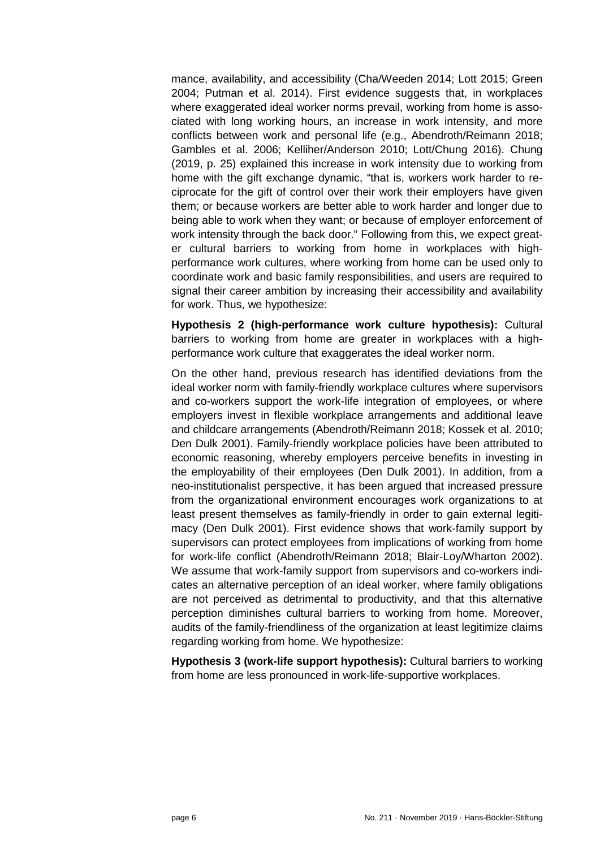mance, availability, and accessibility (Cha/Weeden 2014; Lott 2015; Green 2004; Putman et al. 2014). First evidence suggests that, in workplaces where exaggerated ideal worker norms prevail, working from home is associated with long working hours, an increase in work intensity, and more conflicts between work and personal life (e.g., Abendroth/Reimann 2018; Gambles et al. 2006; Kelliher/Anderson 2010; Lott/Chung 2016). Chung (2019, p. 25) explained this increase in work intensity due to working from home with the gift exchange dynamic, "that is, workers work harder to reciprocate for the gift of control over their work their employers have given them; or because workers are better able to work harder and longer due to being able to work when they want; or because of employer enforcement of work intensity through the back door." Following from this, we expect greater cultural barriers to working from home in workplaces with highperformance work cultures, where working from home can be used only to coordinate work and basic family responsibilities, and users are required to signal their career ambition by increasing their accessibility and availability for work. Thus, we hypothesize:

**Hypothesis 2 (high-performance work culture hypothesis):** Cultural barriers to working from home are greater in workplaces with a highperformance work culture that exaggerates the ideal worker norm.

On the other hand, previous research has identified deviations from the ideal worker norm with family-friendly workplace cultures where supervisors and co-workers support the work-life integration of employees, or where employers invest in flexible workplace arrangements and additional leave and childcare arrangements (Abendroth/Reimann 2018; Kossek et al. 2010; Den Dulk 2001). Family-friendly workplace policies have been attributed to economic reasoning, whereby employers perceive benefits in investing in the employability of their employees (Den Dulk 2001). In addition, from a neo-institutionalist perspective, it has been argued that increased pressure from the organizational environment encourages work organizations to at least present themselves as family-friendly in order to gain external legitimacy (Den Dulk 2001). First evidence shows that work-family support by supervisors can protect employees from implications of working from home for work-life conflict (Abendroth/Reimann 2018; Blair-Loy/Wharton 2002). We assume that work-family support from supervisors and co-workers indicates an alternative perception of an ideal worker, where family obligations are not perceived as detrimental to productivity, and that this alternative perception diminishes cultural barriers to working from home. Moreover, audits of the family-friendliness of the organization at least legitimize claims regarding working from home. We hypothesize:

**Hypothesis 3 (work-life support hypothesis):** Cultural barriers to working from home are less pronounced in work-life-supportive workplaces.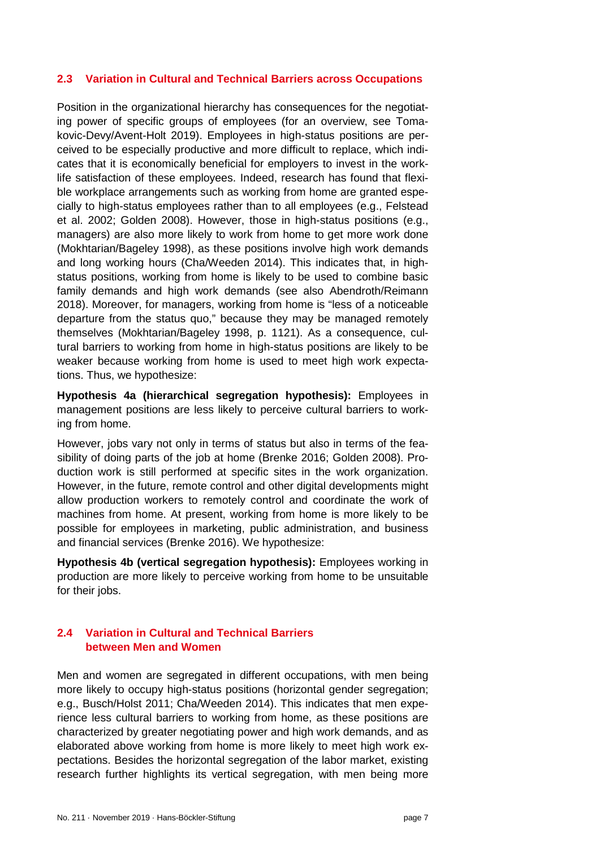#### <span id="page-6-0"></span>**2.3 Variation in Cultural and Technical Barriers across Occupations**

Position in the organizational hierarchy has consequences for the negotiating power of specific groups of employees (for an overview, see Tomakovic-Devy/Avent-Holt 2019). Employees in high-status positions are perceived to be especially productive and more difficult to replace, which indicates that it is economically beneficial for employers to invest in the worklife satisfaction of these employees. Indeed, research has found that flexible workplace arrangements such as working from home are granted especially to high-status employees rather than to all employees (e.g., Felstead et al. 2002; Golden 2008). However, those in high-status positions (e.g., managers) are also more likely to work from home to get more work done (Mokhtarian/Bageley 1998), as these positions involve high work demands and long working hours (Cha/Weeden 2014). This indicates that, in highstatus positions, working from home is likely to be used to combine basic family demands and high work demands (see also Abendroth/Reimann 2018). Moreover, for managers, working from home is "less of a noticeable departure from the status quo," because they may be managed remotely themselves (Mokhtarian/Bageley 1998, p. 1121). As a consequence, cultural barriers to working from home in high-status positions are likely to be weaker because working from home is used to meet high work expectations. Thus, we hypothesize:

**Hypothesis 4a (hierarchical segregation hypothesis):** Employees in management positions are less likely to perceive cultural barriers to working from home.

However, jobs vary not only in terms of status but also in terms of the feasibility of doing parts of the job at home (Brenke 2016; Golden 2008). Production work is still performed at specific sites in the work organization. However, in the future, remote control and other digital developments might allow production workers to remotely control and coordinate the work of machines from home. At present, working from home is more likely to be possible for employees in marketing, public administration, and business and financial services (Brenke 2016). We hypothesize:

**Hypothesis 4b (vertical segregation hypothesis):** Employees working in production are more likely to perceive working from home to be unsuitable for their jobs.

#### <span id="page-6-1"></span>**2.4 Variation in Cultural and Technical Barriers between Men and Women**

Men and women are segregated in different occupations, with men being more likely to occupy high-status positions (horizontal gender segregation; e.g., Busch/Holst 2011; Cha/Weeden 2014). This indicates that men experience less cultural barriers to working from home, as these positions are characterized by greater negotiating power and high work demands, and as elaborated above working from home is more likely to meet high work expectations. Besides the horizontal segregation of the labor market, existing research further highlights its vertical segregation, with men being more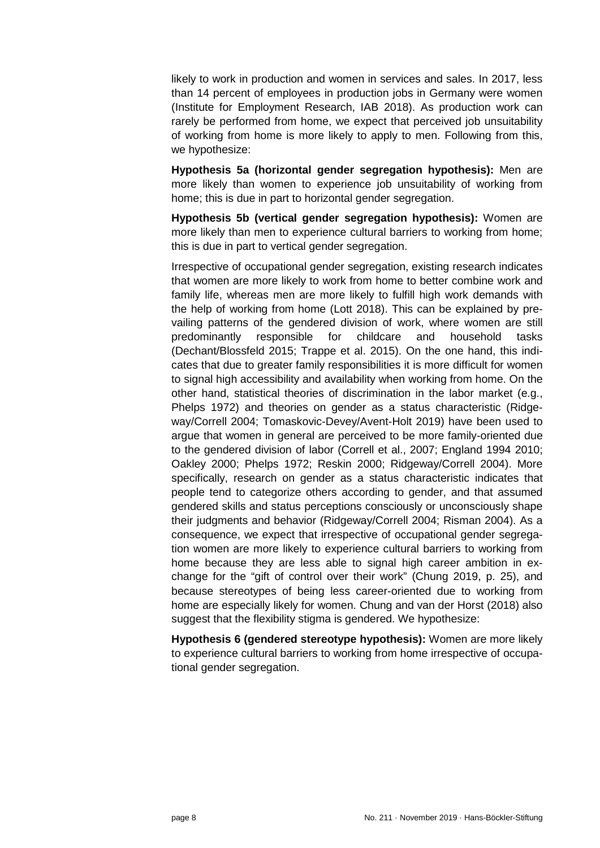likely to work in production and women in services and sales. In 2017, less than 14 percent of employees in production jobs in Germany were women (Institute for Employment Research, IAB 2018). As production work can rarely be performed from home, we expect that perceived job unsuitability of working from home is more likely to apply to men. Following from this, we hypothesize:

**Hypothesis 5a (horizontal gender segregation hypothesis):** Men are more likely than women to experience job unsuitability of working from home; this is due in part to horizontal gender segregation.

**Hypothesis 5b (vertical gender segregation hypothesis):** Women are more likely than men to experience cultural barriers to working from home; this is due in part to vertical gender segregation.

Irrespective of occupational gender segregation, existing research indicates that women are more likely to work from home to better combine work and family life, whereas men are more likely to fulfill high work demands with the help of working from home (Lott 2018). This can be explained by prevailing patterns of the gendered division of work, where women are still predominantly responsible for childcare and household tasks (Dechant/Blossfeld 2015; Trappe et al. 2015). On the one hand, this indicates that due to greater family responsibilities it is more difficult for women to signal high accessibility and availability when working from home. On the other hand, statistical theories of discrimination in the labor market (e.g., Phelps 1972) and theories on gender as a status characteristic (Ridgeway/Correll 2004; Tomaskovic-Devey/Avent-Holt 2019) have been used to argue that women in general are perceived to be more family-oriented due to the gendered division of labor (Correll et al., 2007; England 1994 2010; Oakley 2000; Phelps 1972; Reskin 2000; Ridgeway/Correll 2004). More specifically, research on gender as a status characteristic indicates that people tend to categorize others according to gender, and that assumed gendered skills and status perceptions consciously or unconsciously shape their judgments and behavior (Ridgeway/Correll 2004; Risman 2004). As a consequence, we expect that irrespective of occupational gender segregation women are more likely to experience cultural barriers to working from home because they are less able to signal high career ambition in exchange for the "gift of control over their work" (Chung 2019, p. 25), and because stereotypes of being less career-oriented due to working from home are especially likely for women. Chung and van der Horst (2018) also suggest that the flexibility stigma is gendered. We hypothesize:

**Hypothesis 6 (gendered stereotype hypothesis):** Women are more likely to experience cultural barriers to working from home irrespective of occupational gender segregation.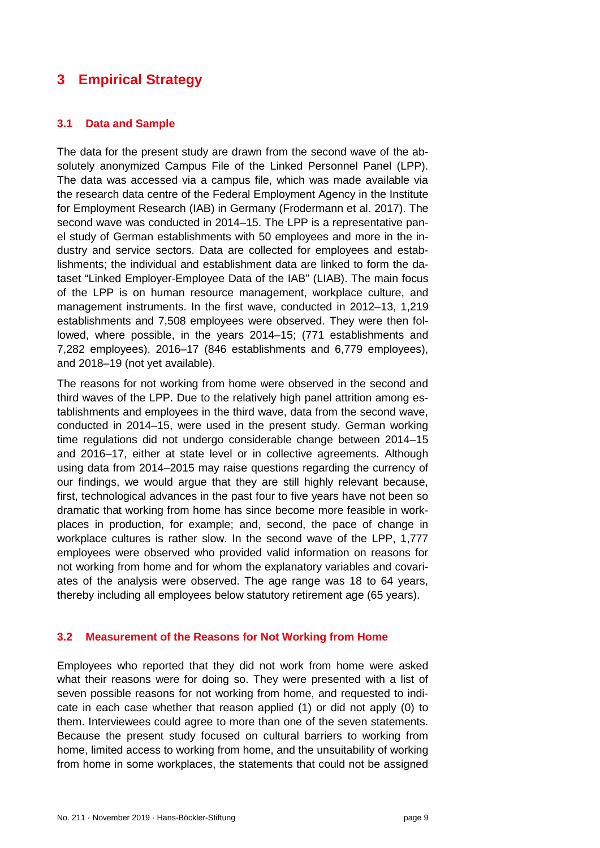## <span id="page-8-0"></span>**3 Empirical Strategy**

#### <span id="page-8-1"></span>**3.1 Data and Sample**

The data for the present study are drawn from the second wave of the absolutely anonymized Campus File of the Linked Personnel Panel (LPP). The data was accessed via a campus file, which was made available via the research data centre of the Federal Employment Agency in the Institute for Employment Research (IAB) in Germany (Frodermann et al. 2017). The second wave was conducted in 2014–15. The LPP is a representative panel study of German establishments with 50 employees and more in the industry and service sectors. Data are collected for employees and establishments; the individual and establishment data are linked to form the dataset "Linked Employer-Employee Data of the IAB" (LIAB). The main focus of the LPP is on human resource management, workplace culture, and management instruments. In the first wave, conducted in 2012–13, 1,219 establishments and 7,508 employees were observed. They were then followed, where possible, in the years 2014–15; (771 establishments and 7,282 employees), 2016–17 (846 establishments and 6,779 employees), and 2018–19 (not yet available).

The reasons for not working from home were observed in the second and third waves of the LPP. Due to the relatively high panel attrition among establishments and employees in the third wave, data from the second wave, conducted in 2014–15, were used in the present study. German working time regulations did not undergo considerable change between 2014–15 and 2016–17, either at state level or in collective agreements. Although using data from 2014–2015 may raise questions regarding the currency of our findings, we would argue that they are still highly relevant because, first, technological advances in the past four to five years have not been so dramatic that working from home has since become more feasible in workplaces in production, for example; and, second, the pace of change in workplace cultures is rather slow. In the second wave of the LPP, 1,777 employees were observed who provided valid information on reasons for not working from home and for whom the explanatory variables and covariates of the analysis were observed. The age range was 18 to 64 years, thereby including all employees below statutory retirement age (65 years).

#### <span id="page-8-2"></span>**3.2 Measurement of the Reasons for Not Working from Home**

Employees who reported that they did not work from home were asked what their reasons were for doing so. They were presented with a list of seven possible reasons for not working from home, and requested to indicate in each case whether that reason applied (1) or did not apply (0) to them. Interviewees could agree to more than one of the seven statements. Because the present study focused on cultural barriers to working from home, limited access to working from home, and the unsuitability of working from home in some workplaces, the statements that could not be assigned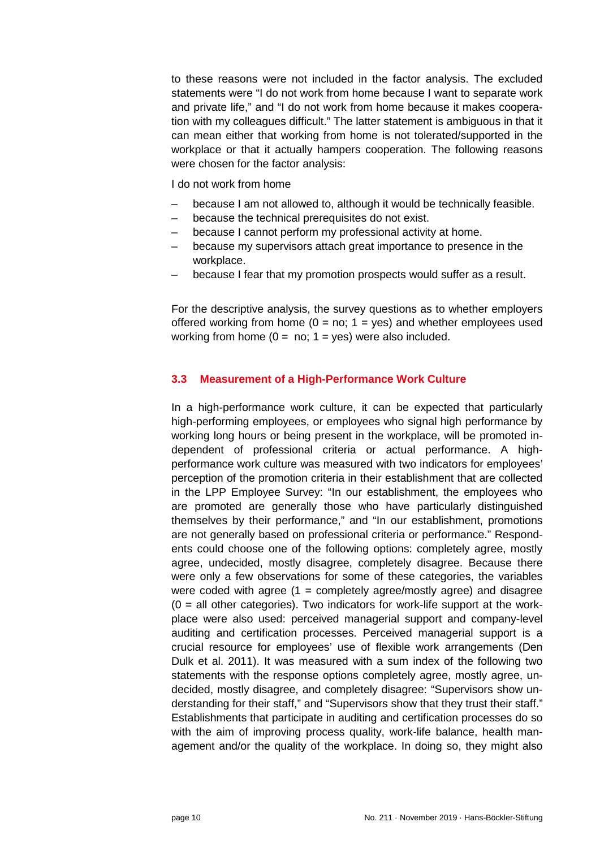to these reasons were not included in the factor analysis. The excluded statements were "I do not work from home because I want to separate work and private life," and "I do not work from home because it makes cooperation with my colleagues difficult." The latter statement is ambiguous in that it can mean either that working from home is not tolerated/supported in the workplace or that it actually hampers cooperation. The following reasons were chosen for the factor analysis:

I do not work from home

- because I am not allowed to, although it would be technically feasible.
- because the technical prerequisites do not exist.
- because I cannot perform my professional activity at home.
- because my supervisors attach great importance to presence in the workplace.
- because I fear that my promotion prospects would suffer as a result.

For the descriptive analysis, the survey questions as to whether employers offered working from home  $(0 = no; 1 = yes)$  and whether employees used working from home  $(0 = no; 1 = ves)$  were also included.

#### <span id="page-9-0"></span>**3.3 Measurement of a High-Performance Work Culture**

In a high-performance work culture, it can be expected that particularly high-performing employees, or employees who signal high performance by working long hours or being present in the workplace, will be promoted independent of professional criteria or actual performance. A highperformance work culture was measured with two indicators for employees' perception of the promotion criteria in their establishment that are collected in the LPP Employee Survey: "In our establishment, the employees who are promoted are generally those who have particularly distinguished themselves by their performance," and "In our establishment, promotions are not generally based on professional criteria or performance." Respondents could choose one of the following options: completely agree, mostly agree, undecided, mostly disagree, completely disagree. Because there were only a few observations for some of these categories, the variables were coded with agree  $(1 =$  completely agree/mostly agree) and disagree  $(0 = all other categories)$ . Two indicators for work-life support at the workplace were also used: perceived managerial support and company-level auditing and certification processes. Perceived managerial support is a crucial resource for employees' use of flexible work arrangements (Den Dulk et al. 2011). It was measured with a sum index of the following two statements with the response options completely agree, mostly agree, undecided, mostly disagree, and completely disagree: "Supervisors show understanding for their staff," and "Supervisors show that they trust their staff." Establishments that participate in auditing and certification processes do so with the aim of improving process quality, work-life balance, health management and/or the quality of the workplace. In doing so, they might also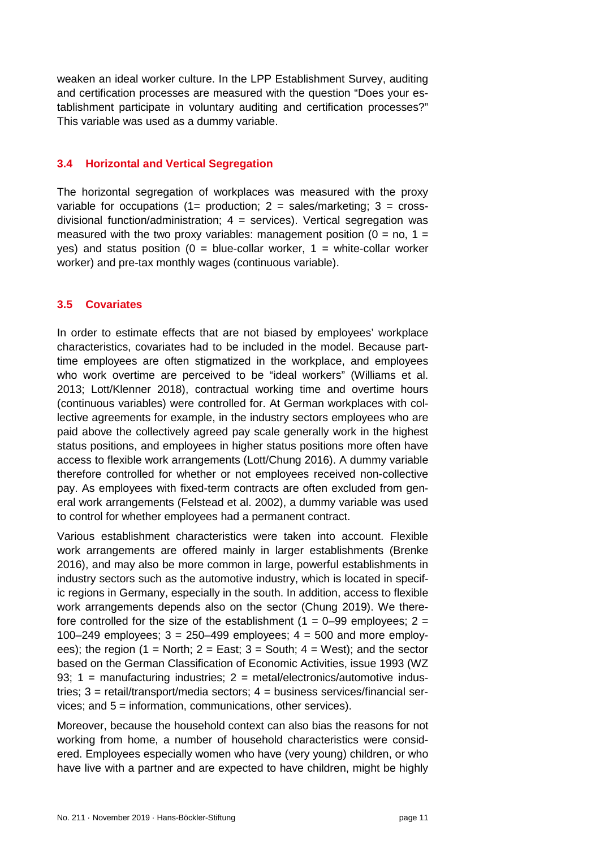weaken an ideal worker culture. In the LPP Establishment Survey, auditing and certification processes are measured with the question "Does your establishment participate in voluntary auditing and certification processes?" This variable was used as a dummy variable.

#### <span id="page-10-0"></span>**3.4 Horizontal and Vertical Segregation**

The horizontal segregation of workplaces was measured with the proxy variable for occupations  $(1=$  production;  $2 =$  sales/marketing;  $3 =$  crossdivisional function/administration;  $4 =$  services). Vertical segregation was measured with the two proxy variables: management position  $(0 = no, 1 =$ yes) and status position ( $0 =$  blue-collar worker,  $1 =$  white-collar worker worker) and pre-tax monthly wages (continuous variable).

#### <span id="page-10-1"></span>**3.5 Covariates**

In order to estimate effects that are not biased by employees' workplace characteristics, covariates had to be included in the model. Because parttime employees are often stigmatized in the workplace, and employees who work overtime are perceived to be "ideal workers" (Williams et al. 2013; Lott/Klenner 2018), contractual working time and overtime hours (continuous variables) were controlled for. At German workplaces with collective agreements for example, in the industry sectors employees who are paid above the collectively agreed pay scale generally work in the highest status positions, and employees in higher status positions more often have access to flexible work arrangements (Lott/Chung 2016). A dummy variable therefore controlled for whether or not employees received non-collective pay. As employees with fixed-term contracts are often excluded from general work arrangements (Felstead et al. 2002), a dummy variable was used to control for whether employees had a permanent contract.

Various establishment characteristics were taken into account. Flexible work arrangements are offered mainly in larger establishments (Brenke 2016), and may also be more common in large, powerful establishments in industry sectors such as the automotive industry, which is located in specific regions in Germany, especially in the south. In addition, access to flexible work arrangements depends also on the sector (Chung 2019). We therefore controlled for the size of the establishment ( $1 = 0-99$  employees;  $2 = 1$ 100–249 employees;  $3 = 250-499$  employees;  $4 = 500$  and more employees); the region  $(1 = \text{North}; 2 = \text{East}; 3 = \text{South}; 4 = \text{West};$  and the sector based on the German Classification of Economic Activities, issue 1993 (WZ 93; 1 = manufacturing industries; 2 = metal/electronics/automotive industries; 3 = retail/transport/media sectors; 4 = business services/financial services; and 5 = information, communications, other services).

Moreover, because the household context can also bias the reasons for not working from home, a number of household characteristics were considered. Employees especially women who have (very young) children, or who have live with a partner and are expected to have children, might be highly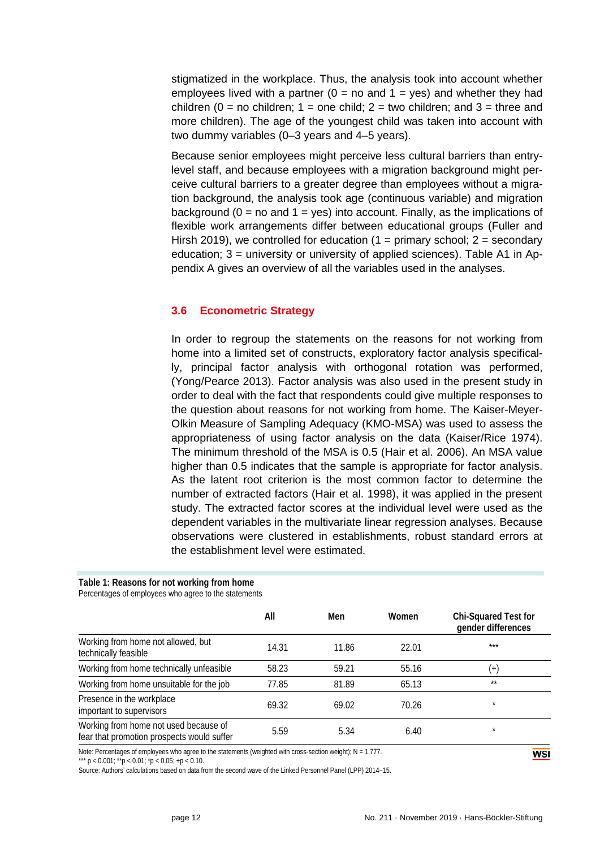stigmatized in the workplace. Thus, the analysis took into account whether employees lived with a partner ( $0 =$  no and  $1 =$  yes) and whether they had children (0 = no children; 1 = one child; 2 = two children; and 3 = three and more children). The age of the youngest child was taken into account with two dummy variables (0–3 years and 4–5 years).

Because senior employees might perceive less cultural barriers than entrylevel staff, and because employees with a migration background might perceive cultural barriers to a greater degree than employees without a migration background, the analysis took age (continuous variable) and migration background ( $0 =$  no and  $1 =$  yes) into account. Finally, as the implications of flexible work arrangements differ between educational groups (Fuller and Hirsh 2019), we controlled for education  $(1 =$  primary school;  $2 =$  secondary education; 3 = university or university of applied sciences). Table A1 in Appendix A gives an overview of all the variables used in the analyses.

#### <span id="page-11-0"></span>**3.6 Econometric Strategy**

In order to regroup the statements on the reasons for not working from home into a limited set of constructs, exploratory factor analysis specifically, principal factor analysis with orthogonal rotation was performed, (Yong/Pearce 2013). Factor analysis was also used in the present study in order to deal with the fact that respondents could give multiple responses to the question about reasons for not working from home. The Kaiser-Meyer-Olkin Measure of Sampling Adequacy (KMO-MSA) was used to assess the appropriateness of using factor analysis on the data (Kaiser/Rice 1974). The minimum threshold of the MSA is 0.5 (Hair et al. 2006). An MSA value higher than 0.5 indicates that the sample is appropriate for factor analysis. As the latent root criterion is the most common factor to determine the number of extracted factors (Hair et al. 1998), it was applied in the present study. The extracted factor scores at the individual level were used as the dependent variables in the multivariate linear regression analyses. Because observations were clustered in establishments, robust standard errors at the establishment level were estimated.

#### **Table 1: Reasons for not working from home**

Percentages of employees who agree to the statements

|                                                                                     | All   | Men   | Women | Chi-Squared Test for<br>gender differences |
|-------------------------------------------------------------------------------------|-------|-------|-------|--------------------------------------------|
| Working from home not allowed, but<br>technically feasible                          | 14.31 | 11.86 | 22.01 | $***$                                      |
| Working from home technically unfeasible                                            | 58.23 | 59.21 | 55.16 | $(+)$                                      |
| Working from home unsuitable for the job                                            | 77.85 | 81.89 | 65.13 | $**$                                       |
| Presence in the workplace<br>important to supervisors                               | 69.32 | 69.02 | 70.26 | $\star$                                    |
| Working from home not used because of<br>fear that promotion prospects would suffer | 5.59  | 5.34  | 6.40  | $\star$                                    |

Note: Percentages of employees who agree to the statements (weighted with cross-section weight); N = 1,777.

\*\*\* p < 0.001;  $*$ p < 0.01;  $*$ p < 0.05; +p < 0.10.

Source: Authors' calculations based on data from the second wave of the Linked Personnel Panel (LPP) 2014–15.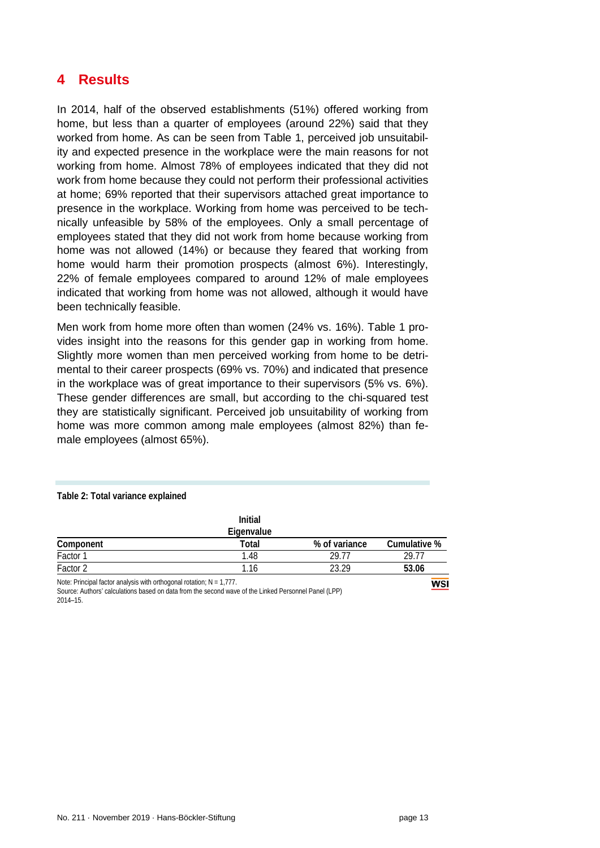## <span id="page-12-0"></span>**4 Results**

In 2014, half of the observed establishments (51%) offered working from home, but less than a quarter of employees (around 22%) said that they worked from home. As can be seen from Table 1, perceived job unsuitability and expected presence in the workplace were the main reasons for not working from home. Almost 78% of employees indicated that they did not work from home because they could not perform their professional activities at home; 69% reported that their supervisors attached great importance to presence in the workplace. Working from home was perceived to be technically unfeasible by 58% of the employees. Only a small percentage of employees stated that they did not work from home because working from home was not allowed (14%) or because they feared that working from home would harm their promotion prospects (almost 6%). Interestingly, 22% of female employees compared to around 12% of male employees indicated that working from home was not allowed, although it would have been technically feasible.

Men work from home more often than women (24% vs. 16%). Table 1 provides insight into the reasons for this gender gap in working from home. Slightly more women than men perceived working from home to be detrimental to their career prospects (69% vs. 70%) and indicated that presence in the workplace was of great importance to their supervisors (5% vs. 6%). These gender differences are small, but according to the chi-squared test they are statistically significant. Perceived job unsuitability of working from home was more common among male employees (almost 82%) than female employees (almost 65%).

#### **Table 2: Total variance explained**

|                                                                         | <b>Initial</b><br>Eigenvalue |               |              |
|-------------------------------------------------------------------------|------------------------------|---------------|--------------|
| Component                                                               | Total                        | % of variance | Cumulative % |
| Factor 1                                                                | 1.48                         | 29 77         | 29.77        |
| Factor 2                                                                | 1.16                         | 23.29         | 53.06        |
| Note: Principal factor analysis with orthogonal rotation; $N = 1,777$ . |                              |               | WSI          |

Source: Authors' calculations based on data from the second wave of the Linked Personnel Panel (LPP) 2014–15.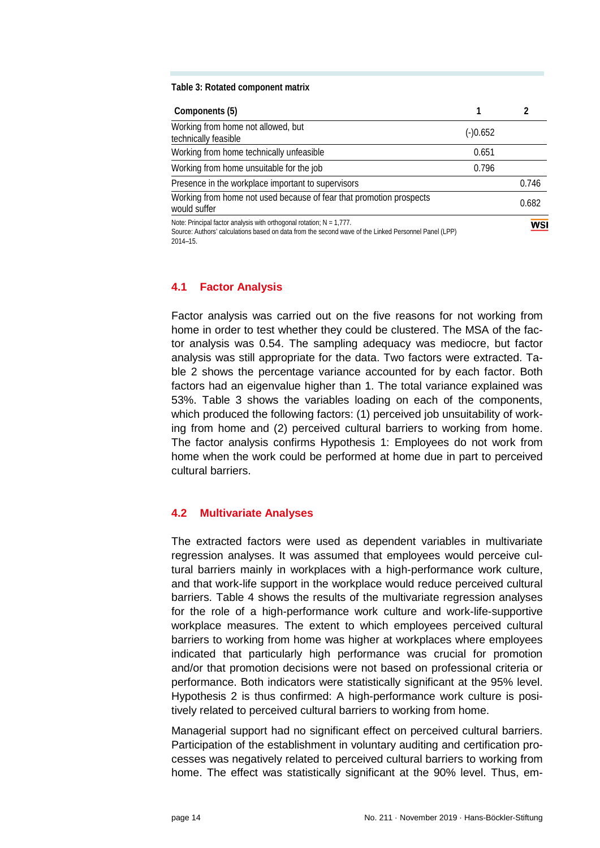#### **Table 3: Rotated component matrix**

| Components (5)                                                                                                                                                                                   |          |       |
|--------------------------------------------------------------------------------------------------------------------------------------------------------------------------------------------------|----------|-------|
| Working from home not allowed, but<br>technically feasible                                                                                                                                       | (-)0.652 |       |
| Working from home technically unfeasible                                                                                                                                                         | 0.651    |       |
| Working from home unsuitable for the job                                                                                                                                                         | 0.796    |       |
| Presence in the workplace important to supervisors                                                                                                                                               |          | 0.746 |
| Working from home not used because of fear that promotion prospects<br>would suffer                                                                                                              |          | 0.682 |
| Note: Principal factor analysis with orthogonal rotation; $N = 1.777$ .<br>Source: Authors' calculations based on data from the second wave of the Linked Personnel Panel (LPP)<br>$2014 - 15$ . |          | WSI   |

#### <span id="page-13-0"></span>**4.1 Factor Analysis**

Factor analysis was carried out on the five reasons for not working from home in order to test whether they could be clustered. The MSA of the factor analysis was 0.54. The sampling adequacy was mediocre, but factor analysis was still appropriate for the data. Two factors were extracted. Table 2 shows the percentage variance accounted for by each factor. Both factors had an eigenvalue higher than 1. The total variance explained was 53%. Table 3 shows the variables loading on each of the components, which produced the following factors: (1) perceived job unsuitability of working from home and (2) perceived cultural barriers to working from home. The factor analysis confirms Hypothesis 1: Employees do not work from home when the work could be performed at home due in part to perceived cultural barriers.

#### <span id="page-13-1"></span>**4.2 Multivariate Analyses**

The extracted factors were used as dependent variables in multivariate regression analyses. It was assumed that employees would perceive cultural barriers mainly in workplaces with a high-performance work culture, and that work-life support in the workplace would reduce perceived cultural barriers. Table 4 shows the results of the multivariate regression analyses for the role of a high-performance work culture and work-life-supportive workplace measures. The extent to which employees perceived cultural barriers to working from home was higher at workplaces where employees indicated that particularly high performance was crucial for promotion and/or that promotion decisions were not based on professional criteria or performance. Both indicators were statistically significant at the 95% level. Hypothesis 2 is thus confirmed: A high-performance work culture is positively related to perceived cultural barriers to working from home.

Managerial support had no significant effect on perceived cultural barriers. Participation of the establishment in voluntary auditing and certification processes was negatively related to perceived cultural barriers to working from home. The effect was statistically significant at the 90% level. Thus, em-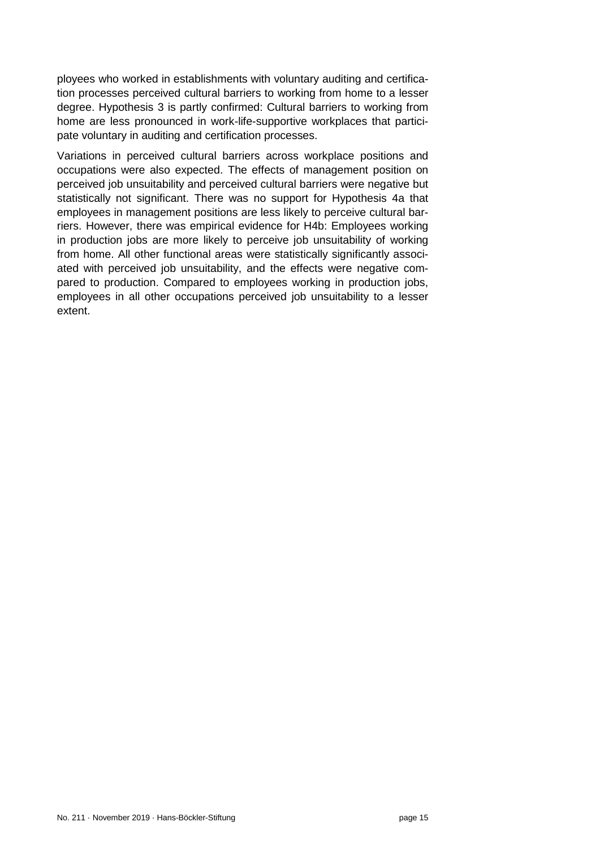ployees who worked in establishments with voluntary auditing and certification processes perceived cultural barriers to working from home to a lesser degree. Hypothesis 3 is partly confirmed: Cultural barriers to working from home are less pronounced in work-life-supportive workplaces that participate voluntary in auditing and certification processes.

Variations in perceived cultural barriers across workplace positions and occupations were also expected. The effects of management position on perceived job unsuitability and perceived cultural barriers were negative but statistically not significant. There was no support for Hypothesis 4a that employees in management positions are less likely to perceive cultural barriers. However, there was empirical evidence for H4b: Employees working in production jobs are more likely to perceive job unsuitability of working from home. All other functional areas were statistically significantly associated with perceived job unsuitability, and the effects were negative compared to production. Compared to employees working in production jobs, employees in all other occupations perceived job unsuitability to a lesser extent.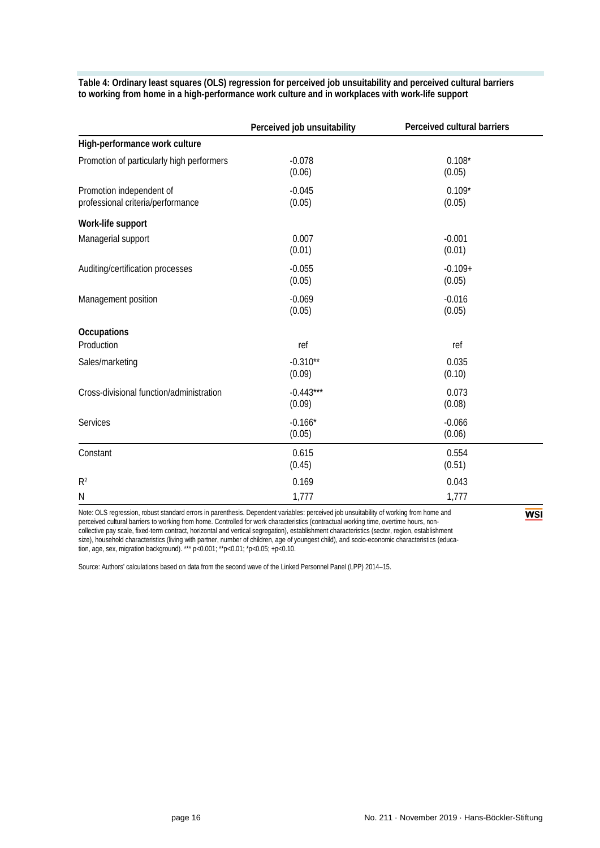|                                                               | Perceived job unsuitability | Perceived cultural barriers |
|---------------------------------------------------------------|-----------------------------|-----------------------------|
| High-performance work culture                                 |                             |                             |
| Promotion of particularly high performers                     | $-0.078$<br>(0.06)          | $0.108*$<br>(0.05)          |
| Promotion independent of<br>professional criteria/performance | $-0.045$<br>(0.05)          | $0.109*$<br>(0.05)          |
| Work-life support                                             |                             |                             |
| Managerial support                                            | 0.007<br>(0.01)             | $-0.001$<br>(0.01)          |
| Auditing/certification processes                              | $-0.055$<br>(0.05)          | $-0.109+$<br>(0.05)         |
| Management position                                           | $-0.069$<br>(0.05)          | $-0.016$<br>(0.05)          |
| Occupations                                                   |                             |                             |
| Production                                                    | ref                         | ref                         |
| Sales/marketing                                               | $-0.310**$<br>(0.09)        | 0.035<br>(0.10)             |
| Cross-divisional function/administration                      | $-0.443***$<br>(0.09)       | 0.073<br>(0.08)             |
| Services                                                      | $-0.166*$<br>(0.05)         | $-0.066$<br>(0.06)          |
| Constant                                                      | 0.615<br>(0.45)             | 0.554<br>(0.51)             |
| R <sup>2</sup>                                                | 0.169                       | 0.043                       |
| Ν                                                             | 1,777                       | 1,777                       |

**Table 4: Ordinary least squares (OLS) regression for perceived job unsuitability and perceived cultural barriers to working from home in a high-performance work culture and in workplaces with work-life support**

Note: OLS regression, robust standard errors in parenthesis. Dependent variables: perceived job unsuitability of working from home and perceived cultural barriers to working from home. Controlled for work characteristics (contractual working time, overtime hours, noncollective pay scale, fixed-term contract, horizontal and vertical segregation), establishment characteristics (sector, region, establishment size), household characteristics (living with partner, number of children, age of youngest child), and socio-economic characteristics (education, age, sex, migration background). \*\*\* p<0.001; \*\*p<0.01; \*p<0.05; +p<0.10.

Source: Authors' calculations based on data from the second wave of the Linked Personnel Panel (LPP) 2014–15.

**WSI**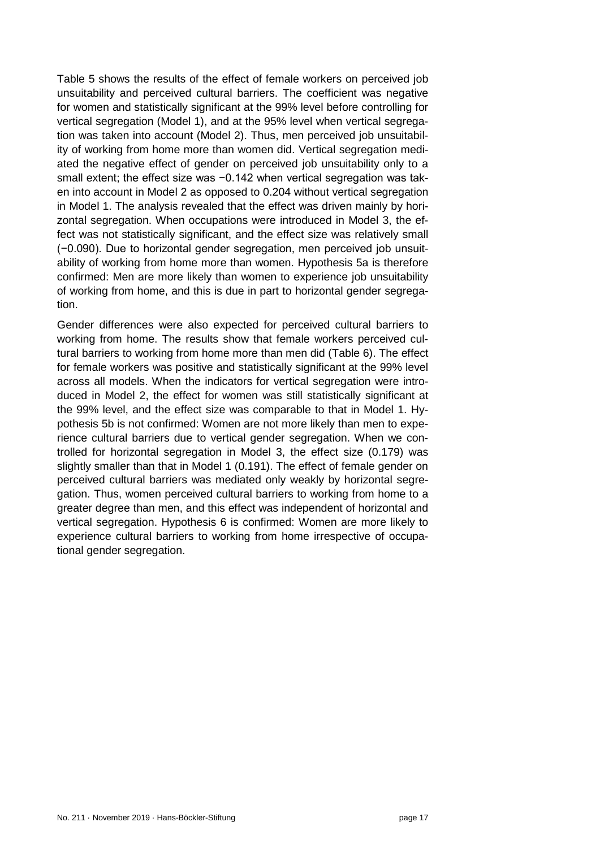Table 5 shows the results of the effect of female workers on perceived job unsuitability and perceived cultural barriers. The coefficient was negative for women and statistically significant at the 99% level before controlling for vertical segregation (Model 1), and at the 95% level when vertical segregation was taken into account (Model 2). Thus, men perceived job unsuitability of working from home more than women did. Vertical segregation mediated the negative effect of gender on perceived job unsuitability only to a small extent; the effect size was -0.142 when vertical segregation was taken into account in Model 2 as opposed to 0.204 without vertical segregation in Model 1. The analysis revealed that the effect was driven mainly by horizontal segregation. When occupations were introduced in Model 3, the effect was not statistically significant, and the effect size was relatively small (−0.090). Due to horizontal gender segregation, men perceived job unsuitability of working from home more than women. Hypothesis 5a is therefore confirmed: Men are more likely than women to experience job unsuitability of working from home, and this is due in part to horizontal gender segregation.

Gender differences were also expected for perceived cultural barriers to working from home. The results show that female workers perceived cultural barriers to working from home more than men did (Table 6). The effect for female workers was positive and statistically significant at the 99% level across all models. When the indicators for vertical segregation were introduced in Model 2, the effect for women was still statistically significant at the 99% level, and the effect size was comparable to that in Model 1. Hypothesis 5b is not confirmed: Women are not more likely than men to experience cultural barriers due to vertical gender segregation. When we controlled for horizontal segregation in Model 3, the effect size (0.179) was slightly smaller than that in Model 1 (0.191). The effect of female gender on perceived cultural barriers was mediated only weakly by horizontal segregation. Thus, women perceived cultural barriers to working from home to a greater degree than men, and this effect was independent of horizontal and vertical segregation. Hypothesis 6 is confirmed: Women are more likely to experience cultural barriers to working from home irrespective of occupational gender segregation.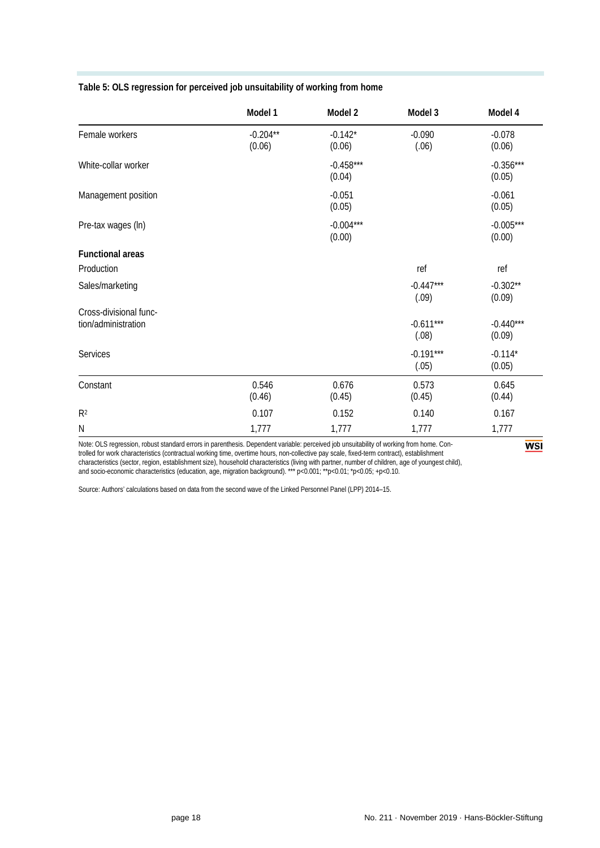| Table 5: OLS regression for perceived job unsuitability of working from home |  |  |
|------------------------------------------------------------------------------|--|--|
|                                                                              |  |  |

|                                               | Model 1              | Model 2               | Model 3              | Model 4               |
|-----------------------------------------------|----------------------|-----------------------|----------------------|-----------------------|
| Female workers                                | $-0.204**$<br>(0.06) | $-0.142*$<br>(0.06)   | $-0.090$<br>(.06)    | $-0.078$<br>(0.06)    |
| White-collar worker                           |                      | $-0.458***$<br>(0.04) |                      | $-0.356***$<br>(0.05) |
| Management position                           |                      | $-0.051$<br>(0.05)    |                      | $-0.061$<br>(0.05)    |
| Pre-tax wages (In)                            |                      | $-0.004***$<br>(0.00) |                      | $-0.005***$<br>(0.00) |
| <b>Functional areas</b>                       |                      |                       |                      |                       |
| Production                                    |                      |                       | ref                  | ref                   |
| Sales/marketing                               |                      |                       | $-0.447***$<br>(.09) | $-0.302**$<br>(0.09)  |
| Cross-divisional func-<br>tion/administration |                      |                       | $-0.611***$<br>(.08) | $-0.440***$<br>(0.09) |
| Services                                      |                      |                       | $-0.191***$<br>(.05) | $-0.114*$<br>(0.05)   |
| Constant                                      | 0.546<br>(0.46)      | 0.676<br>(0.45)       | 0.573<br>(0.45)      | 0.645<br>(0.44)       |
| R <sup>2</sup>                                | 0.107                | 0.152                 | 0.140                | 0.167                 |
| ${\sf N}$                                     | 1,777                | 1,777                 | 1,777                | 1,777                 |

Note: OLS regression, robust standard errors in parenthesis. Dependent variable: perceived job unsuitability of working from home. Controlled for work characteristics (contractual working time, overtime hours, non-collective pay scale, fixed-term contract), establishment characteristics (sector, region, establishment size), household characteristics (living with partner, number of children, age of youngest child), and socio-economic characteristics (education, age, migration background). \*\*\* p<0.001; \*\*p<0.01; \*p<0.05; +p<0.10.

Source: Authors' calculations based on data from the second wave of the Linked Personnel Panel (LPP) 2014–15.

**WSI**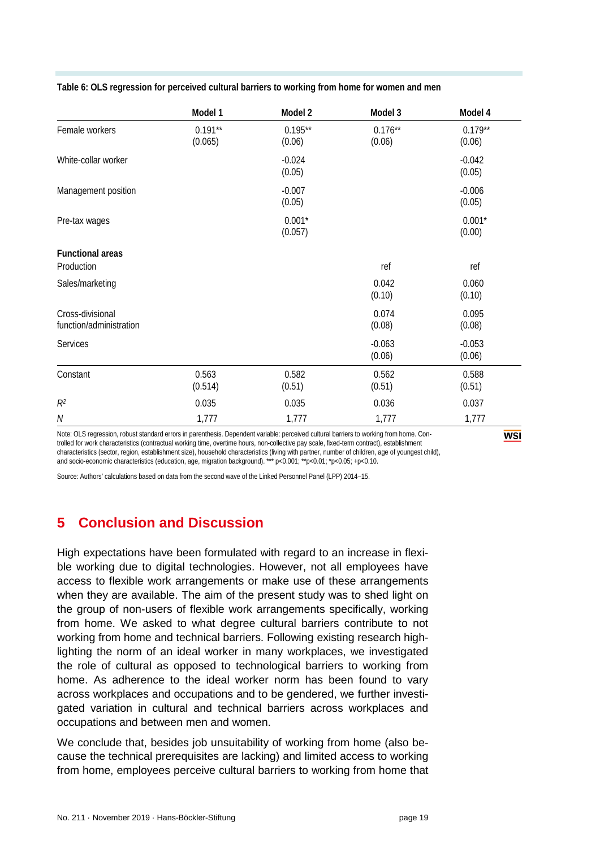|                         | Model 1              | Model 2             | Model 3             | Model 4             |
|-------------------------|----------------------|---------------------|---------------------|---------------------|
| Female workers          | $0.191**$<br>(0.065) | $0.195**$<br>(0.06) | $0.176**$<br>(0.06) | $0.179**$<br>(0.06) |
| White-collar worker     |                      | $-0.024$<br>(0.05)  |                     | $-0.042$<br>(0.05)  |
| Management position     |                      | $-0.007$<br>(0.05)  |                     | $-0.006$<br>(0.05)  |
| Pre-tax wages           |                      | $0.001*$<br>(0.057) |                     | $0.001*$<br>(0.00)  |
| <b>Functional areas</b> |                      |                     |                     |                     |
| Production              |                      |                     | ref                 | ref                 |
| Sales/marketing         |                      |                     | 0.042<br>(0.10)     | 0.060<br>(0.10)     |
| Cross-divisional        |                      |                     | 0.074               | 0.095               |
| function/administration |                      |                     | (0.08)              | (0.08)              |
| <b>Services</b>         |                      |                     | $-0.063$<br>(0.06)  | $-0.053$<br>(0.06)  |
| Constant                | 0.563                | 0.582               | 0.562               | 0.588               |

 $(0.514)$   $(0.51)$   $(0.51)$   $(0.51)$ 

**Table 6: OLS regression for perceived cultural barriers to working from home for women and men** 

Note: OLS regression, robust standard errors in parenthesis. Dependent variable: perceived cultural barriers to working from home. Controlled for work characteristics (contractual working time, overtime hours, non-collective pay scale, fixed-term contract), establishment characteristics (sector, region, establishment size), household characteristics (living with partner, number of children, age of youngest child), and socio-economic characteristics (education, age, migration background). \*\*\* p<0.001; \*\*p<0.01; \*p<0.05; +p<0.10.

*R*<sup>2</sup> 0.035 0.035 0.036 0.037 0.037 0.037 0.037 0.037 0.037 0.037 0.037 0.037 0.037 0.037 0.037 0.037 *N* 1,777 1,777 1,777 1,777 1,777

<span id="page-18-0"></span>Source: Authors' calculations based on data from the second wave of the Linked Personnel Panel (LPP) 2014–15.

## **5 Conclusion and Discussion**

High expectations have been formulated with regard to an increase in flexible working due to digital technologies. However, not all employees have access to flexible work arrangements or make use of these arrangements when they are available. The aim of the present study was to shed light on the group of non-users of flexible work arrangements specifically, working from home. We asked to what degree cultural barriers contribute to not working from home and technical barriers. Following existing research highlighting the norm of an ideal worker in many workplaces, we investigated the role of cultural as opposed to technological barriers to working from home. As adherence to the ideal worker norm has been found to vary across workplaces and occupations and to be gendered, we further investigated variation in cultural and technical barriers across workplaces and occupations and between men and women.

We conclude that, besides job unsuitability of working from home (also because the technical prerequisites are lacking) and limited access to working from home, employees perceive cultural barriers to working from home that **WSI**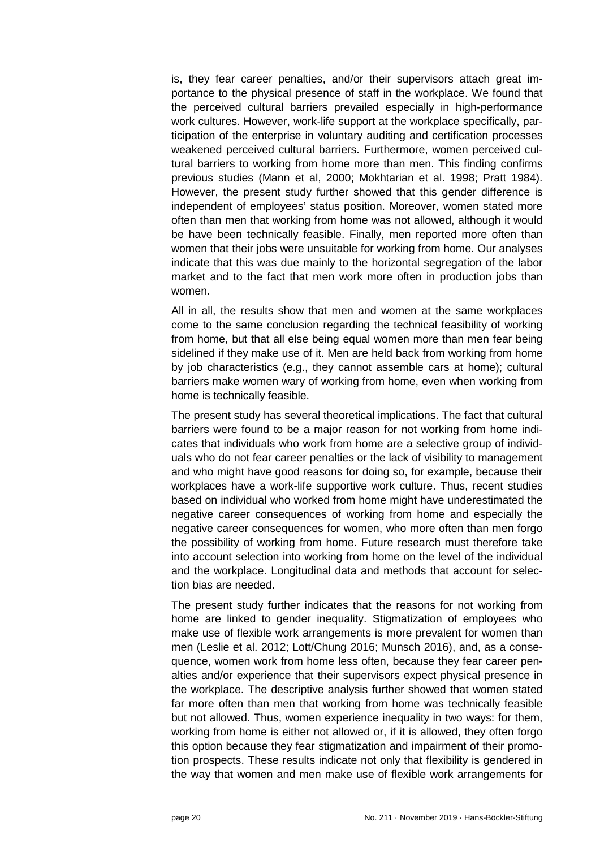is, they fear career penalties, and/or their supervisors attach great importance to the physical presence of staff in the workplace. We found that the perceived cultural barriers prevailed especially in high-performance work cultures. However, work-life support at the workplace specifically, participation of the enterprise in voluntary auditing and certification processes weakened perceived cultural barriers. Furthermore, women perceived cultural barriers to working from home more than men. This finding confirms previous studies (Mann et al, 2000; Mokhtarian et al. 1998; Pratt 1984). However, the present study further showed that this gender difference is independent of employees' status position. Moreover, women stated more often than men that working from home was not allowed, although it would be have been technically feasible. Finally, men reported more often than women that their jobs were unsuitable for working from home. Our analyses indicate that this was due mainly to the horizontal segregation of the labor market and to the fact that men work more often in production jobs than women.

All in all, the results show that men and women at the same workplaces come to the same conclusion regarding the technical feasibility of working from home, but that all else being equal women more than men fear being sidelined if they make use of it. Men are held back from working from home by job characteristics (e.g., they cannot assemble cars at home); cultural barriers make women wary of working from home, even when working from home is technically feasible.

The present study has several theoretical implications. The fact that cultural barriers were found to be a major reason for not working from home indicates that individuals who work from home are a selective group of individuals who do not fear career penalties or the lack of visibility to management and who might have good reasons for doing so, for example, because their workplaces have a work-life supportive work culture. Thus, recent studies based on individual who worked from home might have underestimated the negative career consequences of working from home and especially the negative career consequences for women, who more often than men forgo the possibility of working from home. Future research must therefore take into account selection into working from home on the level of the individual and the workplace. Longitudinal data and methods that account for selection bias are needed.

The present study further indicates that the reasons for not working from home are linked to gender inequality. Stigmatization of employees who make use of flexible work arrangements is more prevalent for women than men (Leslie et al. 2012; Lott/Chung 2016; Munsch 2016), and, as a consequence, women work from home less often, because they fear career penalties and/or experience that their supervisors expect physical presence in the workplace. The descriptive analysis further showed that women stated far more often than men that working from home was technically feasible but not allowed. Thus, women experience inequality in two ways: for them, working from home is either not allowed or, if it is allowed, they often forgo this option because they fear stigmatization and impairment of their promotion prospects. These results indicate not only that flexibility is gendered in the way that women and men make use of flexible work arrangements for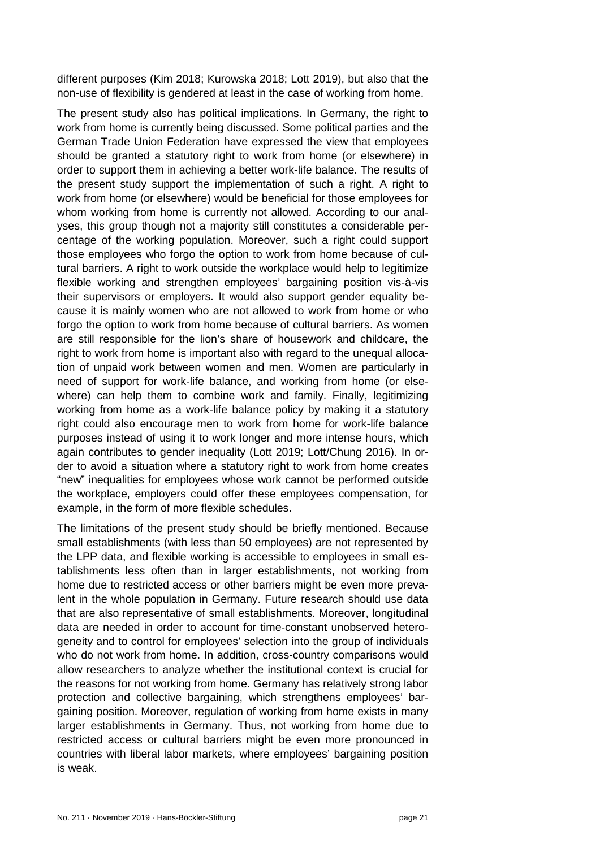different purposes (Kim 2018; Kurowska 2018; Lott 2019), but also that the non-use of flexibility is gendered at least in the case of working from home.

The present study also has political implications. In Germany, the right to work from home is currently being discussed. Some political parties and the German Trade Union Federation have expressed the view that employees should be granted a statutory right to work from home (or elsewhere) in order to support them in achieving a better work-life balance. The results of the present study support the implementation of such a right. A right to work from home (or elsewhere) would be beneficial for those employees for whom working from home is currently not allowed. According to our analyses, this group though not a majority still constitutes a considerable percentage of the working population. Moreover, such a right could support those employees who forgo the option to work from home because of cultural barriers. A right to work outside the workplace would help to legitimize flexible working and strengthen employees' bargaining position vis-à-vis their supervisors or employers. It would also support gender equality because it is mainly women who are not allowed to work from home or who forgo the option to work from home because of cultural barriers. As women are still responsible for the lion's share of housework and childcare, the right to work from home is important also with regard to the unequal allocation of unpaid work between women and men. Women are particularly in need of support for work-life balance, and working from home (or elsewhere) can help them to combine work and family. Finally, legitimizing working from home as a work-life balance policy by making it a statutory right could also encourage men to work from home for work-life balance purposes instead of using it to work longer and more intense hours, which again contributes to gender inequality (Lott 2019; Lott/Chung 2016). In order to avoid a situation where a statutory right to work from home creates "new" inequalities for employees whose work cannot be performed outside the workplace, employers could offer these employees compensation, for example, in the form of more flexible schedules.

The limitations of the present study should be briefly mentioned. Because small establishments (with less than 50 employees) are not represented by the LPP data, and flexible working is accessible to employees in small establishments less often than in larger establishments, not working from home due to restricted access or other barriers might be even more prevalent in the whole population in Germany. Future research should use data that are also representative of small establishments. Moreover, longitudinal data are needed in order to account for time-constant unobserved heterogeneity and to control for employees' selection into the group of individuals who do not work from home. In addition, cross-country comparisons would allow researchers to analyze whether the institutional context is crucial for the reasons for not working from home. Germany has relatively strong labor protection and collective bargaining, which strengthens employees' bargaining position. Moreover, regulation of working from home exists in many larger establishments in Germany. Thus, not working from home due to restricted access or cultural barriers might be even more pronounced in countries with liberal labor markets, where employees' bargaining position is weak.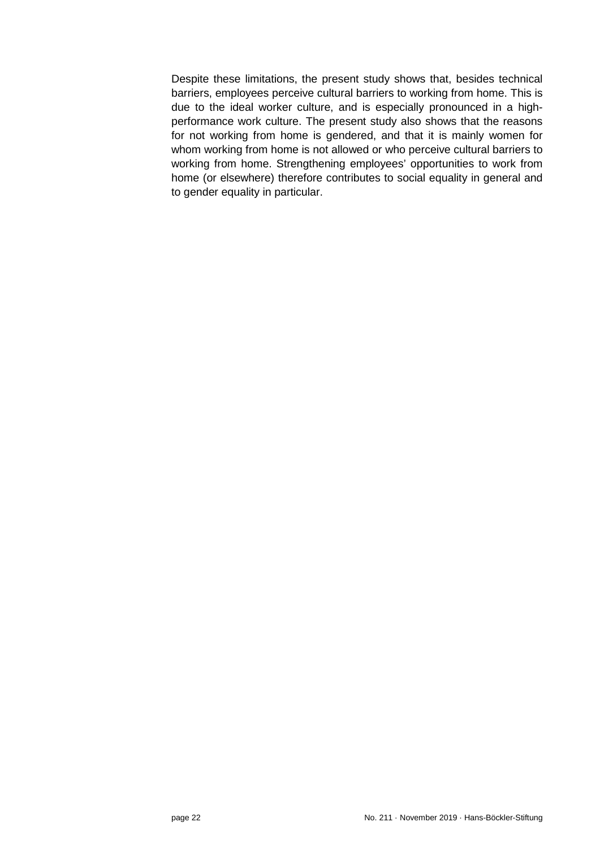Despite these limitations, the present study shows that, besides technical barriers, employees perceive cultural barriers to working from home. This is due to the ideal worker culture, and is especially pronounced in a highperformance work culture. The present study also shows that the reasons for not working from home is gendered, and that it is mainly women for whom working from home is not allowed or who perceive cultural barriers to working from home. Strengthening employees' opportunities to work from home (or elsewhere) therefore contributes to social equality in general and to gender equality in particular.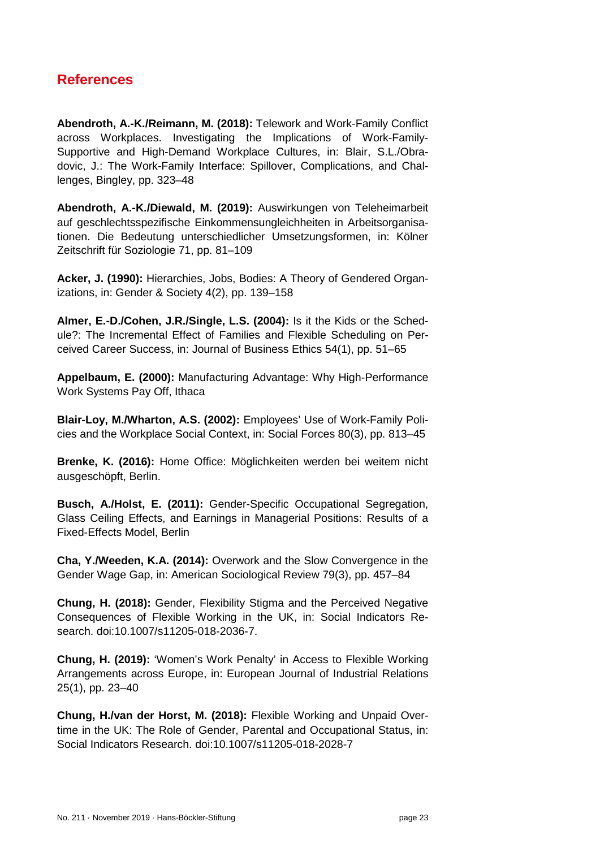## <span id="page-22-0"></span>**References**

**Abendroth, A.-K./Reimann, M. (2018):** Telework and Work-Family Conflict across Workplaces. Investigating the Implications of Work-Family-Supportive and High-Demand Workplace Cultures, in: Blair, S.L./Obradovic, J.: The Work-Family Interface: Spillover, Complications, and Challenges, Bingley, pp. 323–48

**Abendroth, A.-K./Diewald, M. (2019):** Auswirkungen von Teleheimarbeit auf geschlechtsspezifische Einkommensungleichheiten in Arbeitsorganisationen. Die Bedeutung unterschiedlicher Umsetzungsformen, in: Kölner Zeitschrift für Soziologie 71, pp. 81–109

**Acker, J. (1990):** Hierarchies, Jobs, Bodies: A Theory of Gendered Organizations, in: Gender & Society 4(2), pp. 139–158

**Almer, E.-D./Cohen, J.R./Single, L.S. (2004):** Is it the Kids or the Schedule?: The Incremental Effect of Families and Flexible Scheduling on Perceived Career Success, in: Journal of Business Ethics 54(1), pp. 51–65

**Appelbaum, E. (2000):** Manufacturing Advantage: Why High-Performance Work Systems Pay Off, Ithaca

**Blair-Loy, M./Wharton, A.S. (2002):** Employees' Use of Work-Family Policies and the Workplace Social Context, in: Social Forces 80(3), pp. 813–45

**Brenke, K. (2016):** Home Office: Möglichkeiten werden bei weitem nicht ausgeschöpft, Berlin.

**Busch, A./Holst, E. (2011):** Gender-Specific Occupational Segregation, Glass Ceiling Effects, and Earnings in Managerial Positions: Results of a Fixed-Effects Model, Berlin

**Cha, Y./Weeden, K.A. (2014):** Overwork and the Slow Convergence in the Gender Wage Gap, in: American Sociological Review 79(3), pp. 457–84

**Chung, H. (2018):** Gender, Flexibility Stigma and the Perceived Negative Consequences of Flexible Working in the UK, in: Social Indicators Research. doi:10.1007/s11205-018-2036-7.

**Chung, H. (2019):** 'Women's Work Penalty' in Access to Flexible Working Arrangements across Europe, in: European Journal of Industrial Relations 25(1), pp. 23–40

**Chung, H./van der Horst, M. (2018):** Flexible Working and Unpaid Overtime in the UK: The Role of Gender, Parental and Occupational Status, in: Social Indicators Research. doi:10.1007/s11205-018-2028-7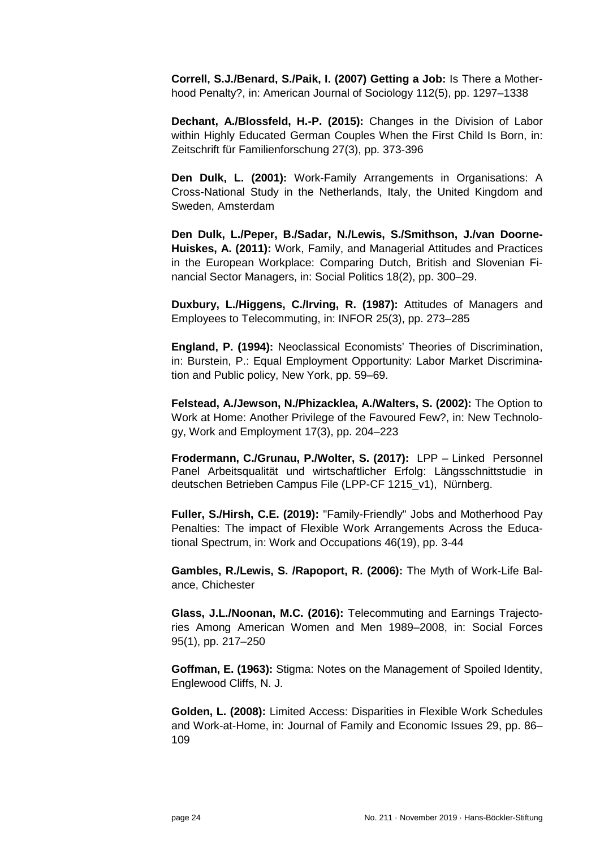**Correll, S.J./Benard, S./Paik, I. (2007) Getting a Job:** Is There a Motherhood Penalty?, in: American Journal of Sociology 112(5), pp. 1297–1338

**Dechant, A./Blossfeld, H.-P. (2015):** Changes in the Division of Labor within Highly Educated German Couples When the First Child Is Born, in: Zeitschrift für Familienforschung 27(3), pp. 373-396

**Den Dulk, L. (2001):** Work-Family Arrangements in Organisations: A Cross-National Study in the Netherlands, Italy, the United Kingdom and Sweden, Amsterdam

**Den Dulk, L./Peper, B./Sadar, N./Lewis, S./Smithson, J./van Doorne-Huiskes, A. (2011):** Work, Family, and Managerial Attitudes and Practices in the European Workplace: Comparing Dutch, British and Slovenian Financial Sector Managers, in: Social Politics 18(2), pp. 300–29.

**Duxbury, L./Higgens, C./Irving, R. (1987):** Attitudes of Managers and Employees to Telecommuting, in: INFOR 25(3), pp. 273–285

**England, P. (1994):** Neoclassical Economists' Theories of Discrimination, in: Burstein, P.: Equal Employment Opportunity: Labor Market Discrimination and Public policy, New York, pp. 59–69.

**Felstead, A./Jewson, N./Phizacklea, A./Walters, S. (2002):** The Option to Work at Home: Another Privilege of the Favoured Few?, in: New Technology, Work and Employment 17(3), pp. 204–223

**Frodermann, C./Grunau, P./Wolter, S. (2017):** LPP – Linked Personnel Panel Arbeitsqualität und wirtschaftlicher Erfolg: Längsschnittstudie in deutschen Betrieben Campus File (LPP-CF 1215\_v1), Nürnberg.

**Fuller, S./Hirsh, C.E. (2019):** "Family-Friendly" Jobs and Motherhood Pay Penalties: The impact of Flexible Work Arrangements Across the Educational Spectrum, in: Work and Occupations 46(19), pp. 3-44

**Gambles, R./Lewis, S. /Rapoport, R. (2006):** The Myth of Work-Life Balance, Chichester

**Glass, J.L./Noonan, M.C. (2016):** Telecommuting and Earnings Trajectories Among American Women and Men 1989–2008, in: Social Forces 95(1), pp. 217–250

**Goffman, E. (1963):** Stigma: Notes on the Management of Spoiled Identity, Englewood Cliffs, N. J.

**Golden, L. (2008):** Limited Access: Disparities in Flexible Work Schedules and Work-at-Home, in: Journal of Family and Economic Issues 29, pp. 86– 109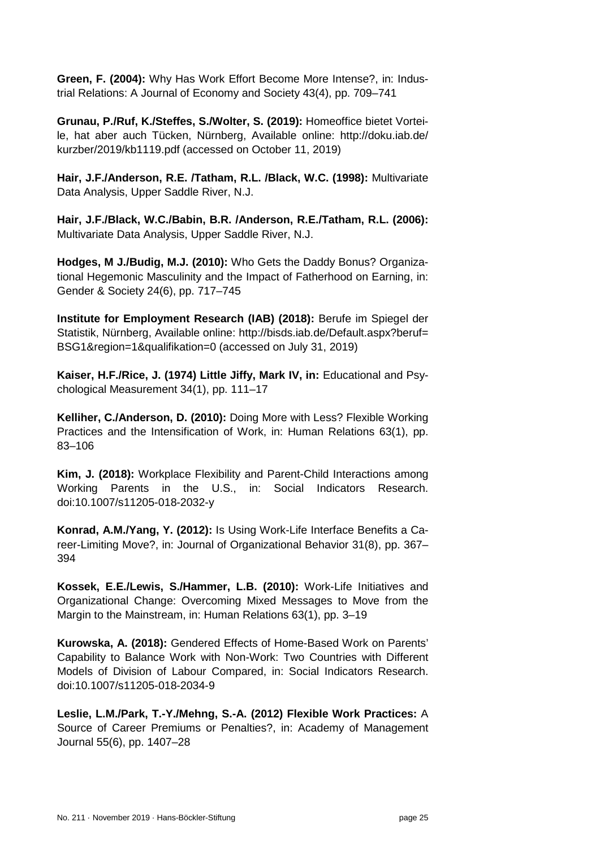**Green, F. (2004):** Why Has Work Effort Become More Intense?, in: Industrial Relations: A Journal of Economy and Society 43(4), pp. 709–741

**Grunau, P./Ruf, K./Steffes, S./Wolter, S. (2019):** Homeoffice bietet Vorteile, hat aber auch Tücken, Nürnberg, Available online: http://doku.iab.de/ kurzber/2019/kb1119.pdf (accessed on October 11, 2019)

**Hair, J.F./Anderson, R.E. /Tatham, R.L. /Black, W.C. (1998):** Multivariate Data Analysis, Upper Saddle River, N.J.

**Hair, J.F./Black, W.C./Babin, B.R. /Anderson, R.E./Tatham, R.L. (2006):** Multivariate Data Analysis, Upper Saddle River, N.J.

**Hodges, M J./Budig, M.J. (2010):** Who Gets the Daddy Bonus? Organizational Hegemonic Masculinity and the Impact of Fatherhood on Earning, in: Gender & Society 24(6), pp. 717–745

**Institute for Employment Research (IAB) (2018):** Berufe im Spiegel der Statistik, Nürnberg, Available online: http://bisds.iab.de/Default.aspx?beruf= BSG1&region=1&qualifikation=0 (accessed on July 31, 2019)

**Kaiser, H.F./Rice, J. (1974) Little Jiffy, Mark IV, in:** Educational and Psychological Measurement 34(1), pp. 111–17

**Kelliher, C./Anderson, D. (2010):** Doing More with Less? Flexible Working Practices and the Intensification of Work, in: Human Relations 63(1), pp. 83–106

**Kim, J. (2018):** Workplace Flexibility and Parent-Child Interactions among Working Parents in the U.S., in: Social Indicators Research. doi:10.1007/s11205-018-2032-y

**Konrad, A.M./Yang, Y. (2012):** Is Using Work-Life Interface Benefits a Career-Limiting Move?, in: Journal of Organizational Behavior 31(8), pp. 367– 394

**Kossek, E.E./Lewis, S./Hammer, L.B. (2010):** Work-Life Initiatives and Organizational Change: Overcoming Mixed Messages to Move from the Margin to the Mainstream, in: Human Relations 63(1), pp. 3–19

**Kurowska, A. (2018):** Gendered Effects of Home-Based Work on Parents' Capability to Balance Work with Non-Work: Two Countries with Different Models of Division of Labour Compared, in: Social Indicators Research. doi:10.1007/s11205-018-2034-9

**Leslie, L.M./Park, T.-Y./Mehng, S.-A. (2012) Flexible Work Practices:** A Source of Career Premiums or Penalties?, in: Academy of Management Journal 55(6), pp. 1407–28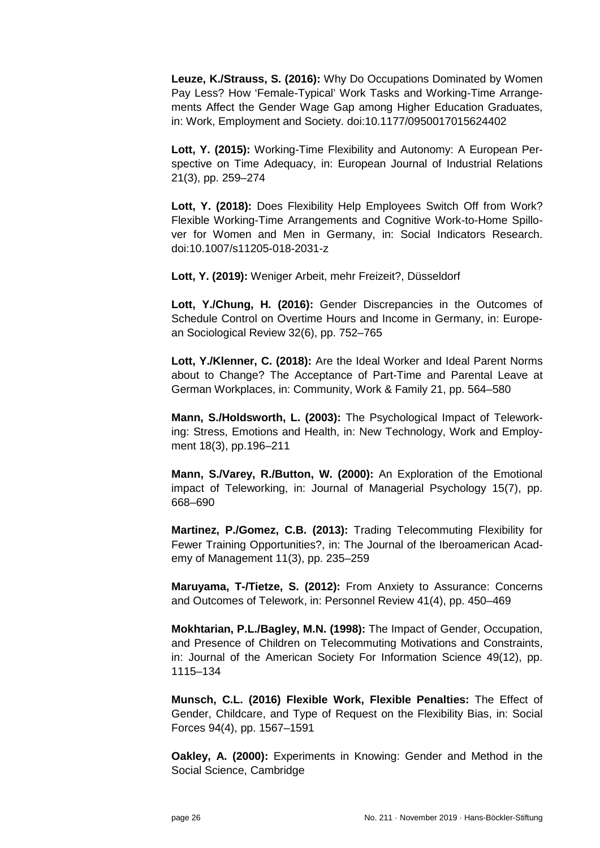**Leuze, K./Strauss, S. (2016):** Why Do Occupations Dominated by Women Pay Less? How 'Female-Typical' Work Tasks and Working-Time Arrangements Affect the Gender Wage Gap among Higher Education Graduates, in: Work, Employment and Society. doi:10.1177/0950017015624402

**Lott, Y. (2015):** Working-Time Flexibility and Autonomy: A European Perspective on Time Adequacy, in: European Journal of Industrial Relations 21(3), pp. 259–274

**Lott, Y. (2018):** Does Flexibility Help Employees Switch Off from Work? Flexible Working-Time Arrangements and Cognitive Work-to-Home Spillover for Women and Men in Germany, in: Social Indicators Research. doi:10.1007/s11205-018-2031-z

**Lott, Y. (2019):** Weniger Arbeit, mehr Freizeit?, Düsseldorf

**Lott, Y./Chung, H. (2016):** Gender Discrepancies in the Outcomes of Schedule Control on Overtime Hours and Income in Germany, in: European Sociological Review 32(6), pp. 752–765

**Lott, Y./Klenner, C. (2018):** Are the Ideal Worker and Ideal Parent Norms about to Change? The Acceptance of Part-Time and Parental Leave at German Workplaces, in: Community, Work & Family 21, pp. 564–580

**Mann, S./Holdsworth, L. (2003):** The Psychological Impact of Teleworking: Stress, Emotions and Health, in: New Technology, Work and Employment 18(3), pp.196–211

**Mann, S./Varey, R./Button, W. (2000):** An Exploration of the Emotional impact of Teleworking, in: Journal of Managerial Psychology 15(7), pp. 668–690

**Martinez, P./Gomez, C.B. (2013):** Trading Telecommuting Flexibility for Fewer Training Opportunities?, in: The Journal of the Iberoamerican Academy of Management 11(3), pp. 235–259

**Maruyama, T-/Tietze, S. (2012):** From Anxiety to Assurance: Concerns and Outcomes of Telework, in: Personnel Review 41(4), pp. 450–469

**Mokhtarian, P.L./Bagley, M.N. (1998):** The Impact of Gender, Occupation, and Presence of Children on Telecommuting Motivations and Constraints, in: Journal of the American Society For Information Science 49(12), pp. 1115–134

**Munsch, C.L. (2016) Flexible Work, Flexible Penalties:** The Effect of Gender, Childcare, and Type of Request on the Flexibility Bias, in: Social Forces 94(4), pp. 1567–1591

**Oakley, A. (2000):** Experiments in Knowing: Gender and Method in the Social Science, Cambridge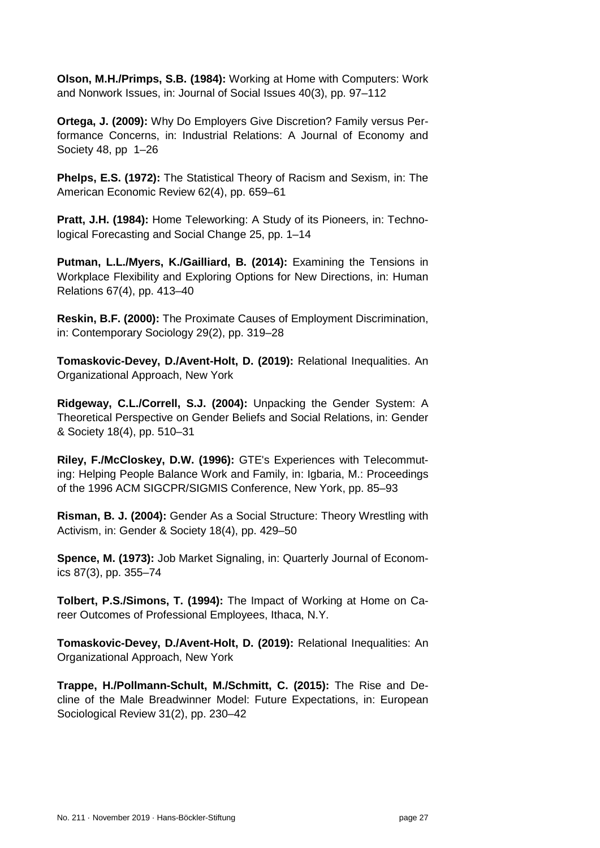**Olson, M.H./Primps, S.B. (1984):** Working at Home with Computers: Work and Nonwork Issues, in: Journal of Social Issues 40(3), pp. 97–112

**Ortega, J. (2009):** Why Do Employers Give Discretion? Family versus Performance Concerns, in: Industrial Relations: A Journal of Economy and Society 48, pp 1–26

**Phelps, E.S. (1972):** The Statistical Theory of Racism and Sexism, in: The American Economic Review 62(4), pp. 659–61

**Pratt, J.H. (1984):** Home Teleworking: A Study of its Pioneers, in: Technological Forecasting and Social Change 25, pp. 1–14

**Putman, L.L./Myers, K./Gailliard, B. (2014):** Examining the Tensions in Workplace Flexibility and Exploring Options for New Directions, in: Human Relations 67(4), pp. 413–40

**Reskin, B.F. (2000):** The Proximate Causes of Employment Discrimination, in: Contemporary Sociology 29(2), pp. 319–28

**Tomaskovic-Devey, D./Avent-Holt, D. (2019):** Relational Inequalities. An Organizational Approach, New York

**Ridgeway, C.L./Correll, S.J. (2004):** Unpacking the Gender System: A Theoretical Perspective on Gender Beliefs and Social Relations, in: Gender & Society 18(4), pp. 510–31

**Riley, F./McCloskey, D.W. (1996):** GTE's Experiences with Telecommuting: Helping People Balance Work and Family, in: Igbaria, M.: Proceedings of the 1996 ACM SIGCPR/SIGMIS Conference, New York, pp. 85–93

**Risman, B. J. (2004):** Gender As a Social Structure: Theory Wrestling with Activism, in: Gender & Society 18(4), pp. 429–50

**Spence, M. (1973):** Job Market Signaling, in: Quarterly Journal of Economics 87(3), pp. 355–74

**Tolbert, P.S./Simons, T. (1994):** The Impact of Working at Home on Career Outcomes of Professional Employees, Ithaca, N.Y.

**Tomaskovic-Devey, D./Avent-Holt, D. (2019):** Relational Inequalities: An Organizational Approach, New York

**Trappe, H./Pollmann-Schult, M./Schmitt, C. (2015):** The Rise and Decline of the Male Breadwinner Model: Future Expectations, in: European Sociological Review 31(2), pp. 230–42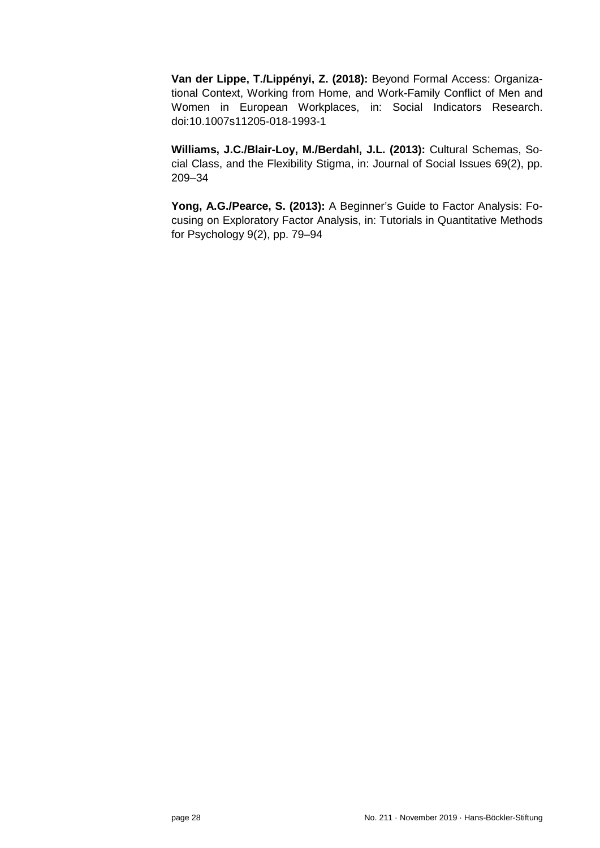**Van der Lippe, T./Lippényi, Z. (2018):** Beyond Formal Access: Organizational Context, Working from Home, and Work-Family Conflict of Men and Women in European Workplaces, in: Social Indicators Research. doi:10.1007s11205-018-1993-1

**Williams, J.C./Blair-Loy, M./Berdahl, J.L. (2013):** Cultural Schemas, Social Class, and the Flexibility Stigma, in: Journal of Social Issues 69(2), pp. 209–34

**Yong, A.G./Pearce, S. (2013):** A Beginner's Guide to Factor Analysis: Focusing on Exploratory Factor Analysis, in: Tutorials in Quantitative Methods for Psychology 9(2), pp. 79–94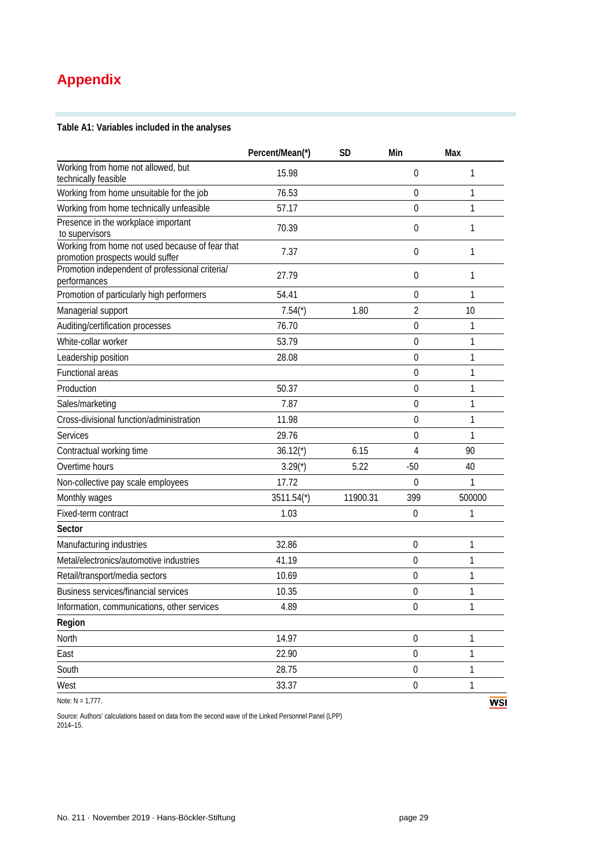## <span id="page-28-0"></span>**Appendix**

**Table A1: Variables included in the analyses** 

|                                                                                     | Percent/Mean(*) | <b>SD</b> | Min              | Max    |
|-------------------------------------------------------------------------------------|-----------------|-----------|------------------|--------|
| Working from home not allowed, but<br>technically feasible                          | 15.98           |           | $\boldsymbol{0}$ | 1      |
| Working from home unsuitable for the job                                            | 76.53           |           | 0                | 1      |
| Working from home technically unfeasible                                            | 57.17           |           | 0                | 1      |
| Presence in the workplace important<br>to supervisors                               | 70.39           |           | 0                | 1      |
| Working from home not used because of fear that<br>promotion prospects would suffer | 7.37            |           | 0                | 1      |
| Promotion independent of professional criteria/<br>performances                     | 27.79           |           | 0                | 1      |
| Promotion of particularly high performers                                           | 54.41           |           | 0                | 1      |
| Managerial support                                                                  | $7.54(*)$       | 1.80      | 2                | 10     |
| Auditing/certification processes                                                    | 76.70           |           | 0                | 1      |
| White-collar worker                                                                 | 53.79           |           | 0                | 1      |
| Leadership position                                                                 | 28.08           |           | 0                | 1      |
| <b>Functional areas</b>                                                             |                 |           | 0                | 1      |
| Production                                                                          | 50.37           |           | 0                | 1      |
| Sales/marketing                                                                     | 7.87            |           | 0                | 1      |
| Cross-divisional function/administration                                            | 11.98           |           | 0                | 1      |
| <b>Services</b>                                                                     | 29.76           |           | 0                | 1      |
| Contractual working time                                                            | $36.12(*)$      | 6.15      | 4                | 90     |
| Overtime hours                                                                      | $3.29(*)$       | 5.22      | $-50$            | 40     |
| Non-collective pay scale employees                                                  | 17.72           |           | $\theta$         | 1      |
| Monthly wages                                                                       | $3511.54*$      | 11900.31  | 399              | 500000 |
| Fixed-term contract                                                                 | 1.03            |           | $\mathbf 0$      | 1      |
| Sector                                                                              |                 |           |                  |        |
| Manufacturing industries                                                            | 32.86           |           | $\mathbf 0$      | 1      |
| Metal/electronics/automotive industries                                             | 41.19           |           | $\mathbf 0$      | 1      |
| Retail/transport/media sectors                                                      | 10.69           |           | $\mathbf 0$      | 1      |
| Business services/financial services                                                | 10.35           |           | $\mathbf 0$      | 1      |
| Information, communications, other services                                         | 4.89            |           | $\boldsymbol{0}$ | 1      |
| Region                                                                              |                 |           |                  |        |
| North                                                                               | 14.97           |           | $\boldsymbol{0}$ | 1      |
| East                                                                                | 22.90           |           | $\mathbf 0$      | 1      |
| South                                                                               | 28.75           |           | $\boldsymbol{0}$ | 1      |
| West                                                                                | 33.37           |           | $\boldsymbol{0}$ | 1      |
| Note: $N = 1,777$ .                                                                 |                 |           |                  | WS     |

**WSI** 

Source: Authors' calculations based on data from the second wave of the Linked Personnel Panel (LPP) 2014–15.